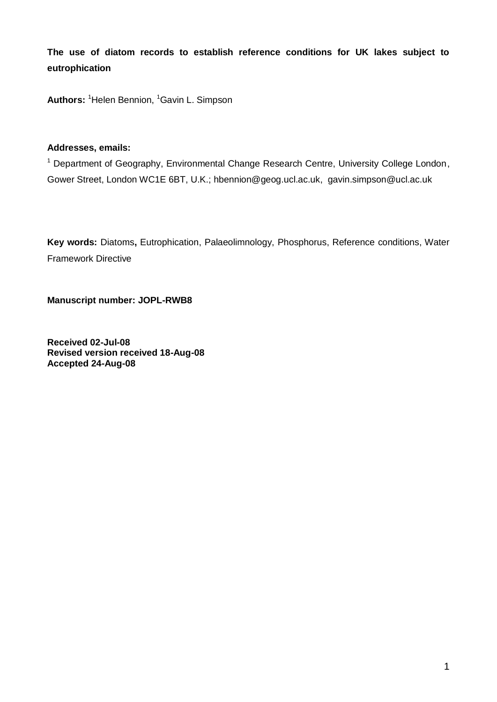**The use of diatom records to establish reference conditions for UK lakes subject to eutrophication** 

Authors: <sup>1</sup>Helen Bennion, <sup>1</sup>Gavin L. Simpson

### **Addresses, emails:**

<sup>1</sup> Department of Geography, Environmental Change Research Centre, University College London, Gower Street, London WC1E 6BT, U.K.; hbennion@geog.ucl.ac.uk, gavin.simpson@ucl.ac.uk

**Key words:** Diatoms**,** Eutrophication, Palaeolimnology, Phosphorus, Reference conditions, Water Framework Directive

**Manuscript number: JOPL-RWB8**

**Received 02-Jul-08 Revised version received 18-Aug-08 Accepted 24-Aug-08**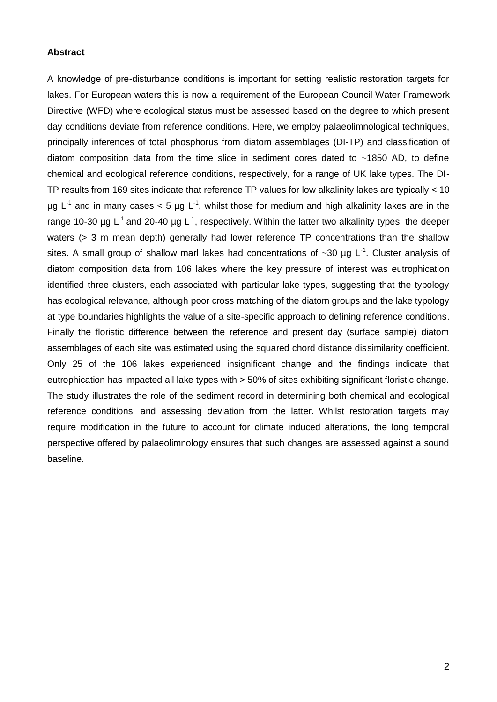#### **Abstract**

A knowledge of pre-disturbance conditions is important for setting realistic restoration targets for lakes. For European waters this is now a requirement of the European Council Water Framework Directive (WFD) where ecological status must be assessed based on the degree to which present day conditions deviate from reference conditions. Here, we employ palaeolimnological techniques, principally inferences of total phosphorus from diatom assemblages (DI-TP) and classification of diatom composition data from the time slice in sediment cores dated to ~1850 AD, to define chemical and ecological reference conditions, respectively, for a range of UK lake types. The DI-TP results from 169 sites indicate that reference TP values for low alkalinity lakes are typically < 10  $\mu$ g L<sup>-1</sup> and in many cases < 5  $\mu$ g L<sup>-1</sup>, whilst those for medium and high alkalinity lakes are in the range 10-30 µg  $L^{-1}$  and 20-40 µg  $L^{-1}$ , respectively. Within the latter two alkalinity types, the deeper waters (> 3 m mean depth) generally had lower reference TP concentrations than the shallow sites. A small group of shallow marl lakes had concentrations of  $\sim$ 30 µg L<sup>-1</sup>. Cluster analysis of diatom composition data from 106 lakes where the key pressure of interest was eutrophication identified three clusters, each associated with particular lake types, suggesting that the typology has ecological relevance, although poor cross matching of the diatom groups and the lake typology at type boundaries highlights the value of a site-specific approach to defining reference conditions. Finally the floristic difference between the reference and present day (surface sample) diatom assemblages of each site was estimated using the squared chord distance dissimilarity coefficient. Only 25 of the 106 lakes experienced insignificant change and the findings indicate that eutrophication has impacted all lake types with > 50% of sites exhibiting significant floristic change. The study illustrates the role of the sediment record in determining both chemical and ecological reference conditions, and assessing deviation from the latter. Whilst restoration targets may require modification in the future to account for climate induced alterations, the long temporal perspective offered by palaeolimnology ensures that such changes are assessed against a sound baseline.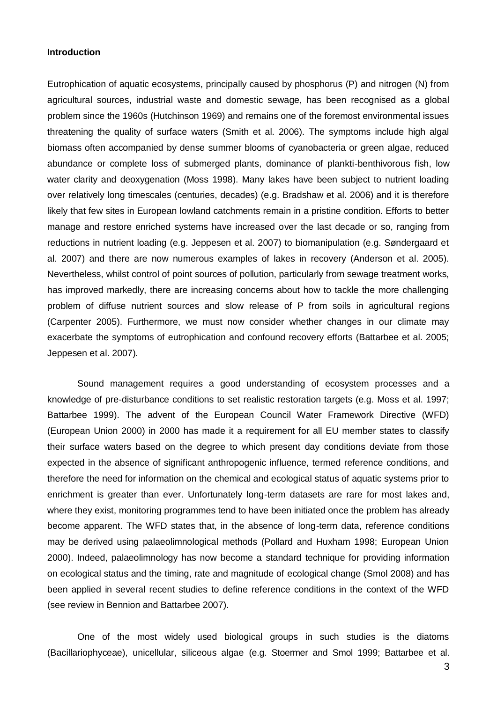#### **Introduction**

Eutrophication of aquatic ecosystems, principally caused by phosphorus (P) and nitrogen (N) from agricultural sources, industrial waste and domestic sewage, has been recognised as a global problem since the 1960s (Hutchinson 1969) and remains one of the foremost environmental issues threatening the quality of surface waters (Smith et al. 2006). The symptoms include high algal biomass often accompanied by dense summer blooms of cyanobacteria or green algae, reduced abundance or complete loss of submerged plants, dominance of plankti-benthivorous fish, low water clarity and deoxygenation (Moss 1998). Many lakes have been subject to nutrient loading over relatively long timescales (centuries, decades) (e.g. Bradshaw et al. 2006) and it is therefore likely that few sites in European lowland catchments remain in a pristine condition. Efforts to better manage and restore enriched systems have increased over the last decade or so, ranging from reductions in nutrient loading (e.g. Jeppesen et al. 2007) to biomanipulation (e.g. Søndergaard et al. 2007) and there are now numerous examples of lakes in recovery (Anderson et al. 2005). Nevertheless, whilst control of point sources of pollution, particularly from sewage treatment works, has improved markedly, there are increasing concerns about how to tackle the more challenging problem of diffuse nutrient sources and slow release of P from soils in agricultural regions (Carpenter 2005). Furthermore, we must now consider whether changes in our climate may exacerbate the symptoms of eutrophication and confound recovery efforts (Battarbee et al. 2005; Jeppesen et al. 2007).

Sound management requires a good understanding of ecosystem processes and a knowledge of pre-disturbance conditions to set realistic restoration targets (e.g. Moss et al. 1997; Battarbee 1999). The advent of the European Council Water Framework Directive (WFD) (European Union 2000) in 2000 has made it a requirement for all EU member states to classify their surface waters based on the degree to which present day conditions deviate from those expected in the absence of significant anthropogenic influence, termed reference conditions, and therefore the need for information on the chemical and ecological status of aquatic systems prior to enrichment is greater than ever. Unfortunately long-term datasets are rare for most lakes and, where they exist, monitoring programmes tend to have been initiated once the problem has already become apparent. The WFD states that, in the absence of long-term data, reference conditions may be derived using palaeolimnological methods (Pollard and Huxham 1998; European Union 2000). Indeed, palaeolimnology has now become a standard technique for providing information on ecological status and the timing, rate and magnitude of ecological change (Smol 2008) and has been applied in several recent studies to define reference conditions in the context of the WFD (see review in Bennion and Battarbee 2007).

One of the most widely used biological groups in such studies is the diatoms (Bacillariophyceae), unicellular, siliceous algae (e.g. Stoermer and Smol 1999; Battarbee et al.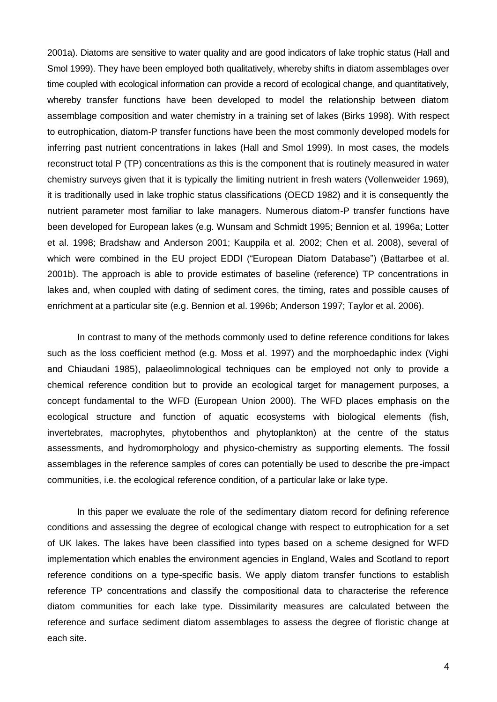2001a). Diatoms are sensitive to water quality and are good indicators of lake trophic status (Hall and Smol 1999). They have been employed both qualitatively, whereby shifts in diatom assemblages over time coupled with ecological information can provide a record of ecological change, and quantitatively, whereby transfer functions have been developed to model the relationship between diatom assemblage composition and water chemistry in a training set of lakes (Birks 1998). With respect to eutrophication, diatom-P transfer functions have been the most commonly developed models for inferring past nutrient concentrations in lakes (Hall and Smol 1999). In most cases, the models reconstruct total P (TP) concentrations as this is the component that is routinely measured in water chemistry surveys given that it is typically the limiting nutrient in fresh waters (Vollenweider 1969), it is traditionally used in lake trophic status classifications (OECD 1982) and it is consequently the nutrient parameter most familiar to lake managers. Numerous diatom-P transfer functions have been developed for European lakes (e.g. Wunsam and Schmidt 1995; Bennion et al. 1996a; Lotter et al. 1998; Bradshaw and Anderson 2001; Kauppila et al. 2002; Chen et al. 2008), several of which were combined in the EU project EDDI ("European Diatom Database") (Battarbee et al. 2001b). The approach is able to provide estimates of baseline (reference) TP concentrations in lakes and, when coupled with dating of sediment cores, the timing, rates and possible causes of enrichment at a particular site (e.g. Bennion et al. 1996b; Anderson 1997; Taylor et al. 2006).

In contrast to many of the methods commonly used to define reference conditions for lakes such as the loss coefficient method (e.g. Moss et al. 1997) and the morphoedaphic index (Vighi and Chiaudani 1985), palaeolimnological techniques can be employed not only to provide a chemical reference condition but to provide an ecological target for management purposes, a concept fundamental to the WFD (European Union 2000). The WFD places emphasis on the ecological structure and function of aquatic ecosystems with biological elements (fish, invertebrates, macrophytes, phytobenthos and phytoplankton) at the centre of the status assessments, and hydromorphology and physico-chemistry as supporting elements. The fossil assemblages in the reference samples of cores can potentially be used to describe the pre-impact communities, i.e. the ecological reference condition, of a particular lake or lake type.

In this paper we evaluate the role of the sedimentary diatom record for defining reference conditions and assessing the degree of ecological change with respect to eutrophication for a set of UK lakes. The lakes have been classified into types based on a scheme designed for WFD implementation which enables the environment agencies in England, Wales and Scotland to report reference conditions on a type-specific basis. We apply diatom transfer functions to establish reference TP concentrations and classify the compositional data to characterise the reference diatom communities for each lake type. Dissimilarity measures are calculated between the reference and surface sediment diatom assemblages to assess the degree of floristic change at each site.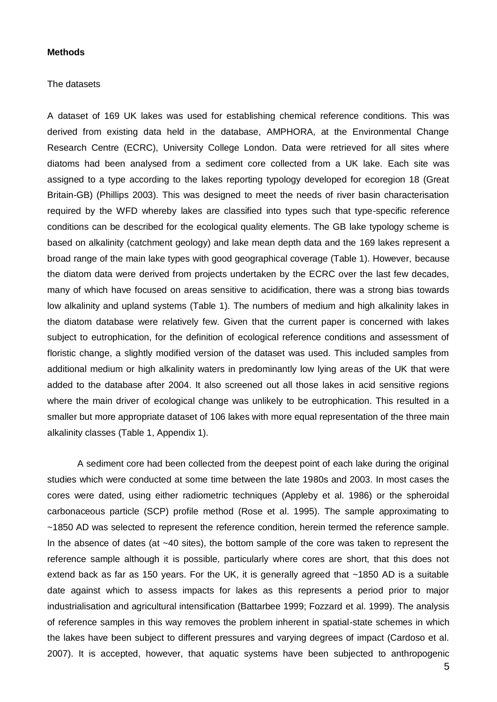#### **Methods**

#### The datasets

A dataset of 169 UK lakes was used for establishing chemical reference conditions. This was derived from existing data held in the database, AMPHORA, at the Environmental Change Research Centre (ECRC), University College London. Data were retrieved for all sites where diatoms had been analysed from a sediment core collected from a UK lake. Each site was assigned to a type according to the lakes reporting typology developed for ecoregion 18 (Great Britain-GB) (Phillips 2003). This was designed to meet the needs of river basin characterisation required by the WFD whereby lakes are classified into types such that type-specific reference conditions can be described for the ecological quality elements. The GB lake typology scheme is based on alkalinity (catchment geology) and lake mean depth data and the 169 lakes represent a broad range of the main lake types with good geographical coverage (Table 1). However, because the diatom data were derived from projects undertaken by the ECRC over the last few decades, many of which have focused on areas sensitive to acidification, there was a strong bias towards low alkalinity and upland systems (Table 1). The numbers of medium and high alkalinity lakes in the diatom database were relatively few. Given that the current paper is concerned with lakes subject to eutrophication, for the definition of ecological reference conditions and assessment of floristic change, a slightly modified version of the dataset was used. This included samples from additional medium or high alkalinity waters in predominantly low lying areas of the UK that were added to the database after 2004. It also screened out all those lakes in acid sensitive regions where the main driver of ecological change was unlikely to be eutrophication. This resulted in a smaller but more appropriate dataset of 106 lakes with more equal representation of the three main alkalinity classes (Table 1, Appendix 1).

A sediment core had been collected from the deepest point of each lake during the original studies which were conducted at some time between the late 1980s and 2003. In most cases the cores were dated, using either radiometric techniques (Appleby et al. 1986) or the spheroidal carbonaceous particle (SCP) profile method (Rose et al. 1995). The sample approximating to ~1850 AD was selected to represent the reference condition, herein termed the reference sample. In the absence of dates (at ~40 sites), the bottom sample of the core was taken to represent the reference sample although it is possible, particularly where cores are short, that this does not extend back as far as 150 years. For the UK, it is generally agreed that ~1850 AD is a suitable date against which to assess impacts for lakes as this represents a period prior to major industrialisation and agricultural intensification (Battarbee 1999; Fozzard et al. 1999). The analysis of reference samples in this way removes the problem inherent in spatial-state schemes in which the lakes have been subject to different pressures and varying degrees of impact (Cardoso et al. 2007). It is accepted, however, that aquatic systems have been subjected to anthropogenic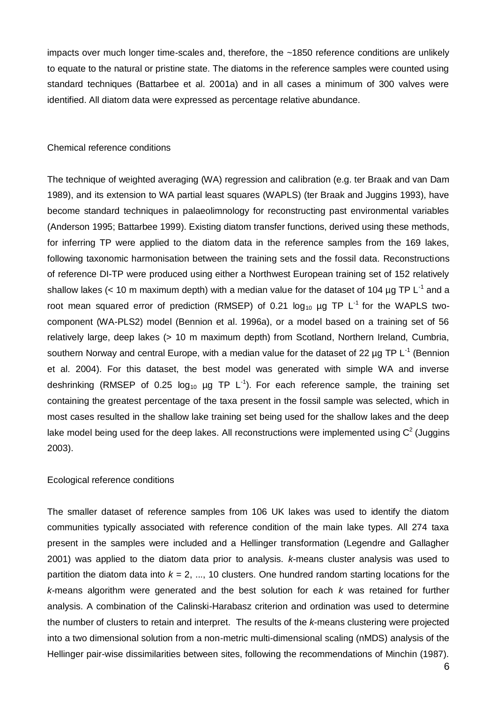impacts over much longer time-scales and, therefore, the ~1850 reference conditions are unlikely to equate to the natural or pristine state. The diatoms in the reference samples were counted using standard techniques (Battarbee et al. 2001a) and in all cases a minimum of 300 valves were identified. All diatom data were expressed as percentage relative abundance.

#### Chemical reference conditions

The technique of weighted averaging (WA) regression and calibration (e.g. ter Braak and van Dam 1989), and its extension to WA partial least squares (WAPLS) (ter Braak and Juggins 1993), have become standard techniques in palaeolimnology for reconstructing past environmental variables (Anderson 1995; Battarbee 1999). Existing diatom transfer functions, derived using these methods, for inferring TP were applied to the diatom data in the reference samples from the 169 lakes, following taxonomic harmonisation between the training sets and the fossil data. Reconstructions of reference DI-TP were produced using either a Northwest European training set of 152 relatively shallow lakes (< 10 m maximum depth) with a median value for the dataset of 104  $\mu$ g TP L<sup>-1</sup> and a root mean squared error of prediction (RMSEP) of 0.21  $log_{10}$  ug TP L<sup>-1</sup> for the WAPLS twocomponent (WA-PLS2) model (Bennion et al. 1996a), or a model based on a training set of 56 relatively large, deep lakes (> 10 m maximum depth) from Scotland, Northern Ireland, Cumbria, southern Norway and central Europe, with a median value for the dataset of 22  $\mu$ g TP L<sup>-1</sup> (Bennion et al. 2004). For this dataset, the best model was generated with simple WA and inverse deshrinking (RMSEP of 0.25  $log_{10}$  µg TP L<sup>-1</sup>). For each reference sample, the training set containing the greatest percentage of the taxa present in the fossil sample was selected, which in most cases resulted in the shallow lake training set being used for the shallow lakes and the deep lake model being used for the deep lakes. All reconstructions were implemented using  $C^2$  (Juggins 2003).

#### Ecological reference conditions

The smaller dataset of reference samples from 106 UK lakes was used to identify the diatom communities typically associated with reference condition of the main lake types. All 274 taxa present in the samples were included and a Hellinger transformation (Legendre and Gallagher 2001) was applied to the diatom data prior to analysis. *k*-means cluster analysis was used to partition the diatom data into  $k = 2, ..., 10$  clusters. One hundred random starting locations for the *k*-means algorithm were generated and the best solution for each *k* was retained for further analysis. A combination of the Calinski-Harabasz criterion and ordination was used to determine the number of clusters to retain and interpret. The results of the *k*-means clustering were projected into a two dimensional solution from a non-metric multi-dimensional scaling (nMDS) analysis of the Hellinger pair-wise dissimilarities between sites, following the recommendations of Minchin (1987).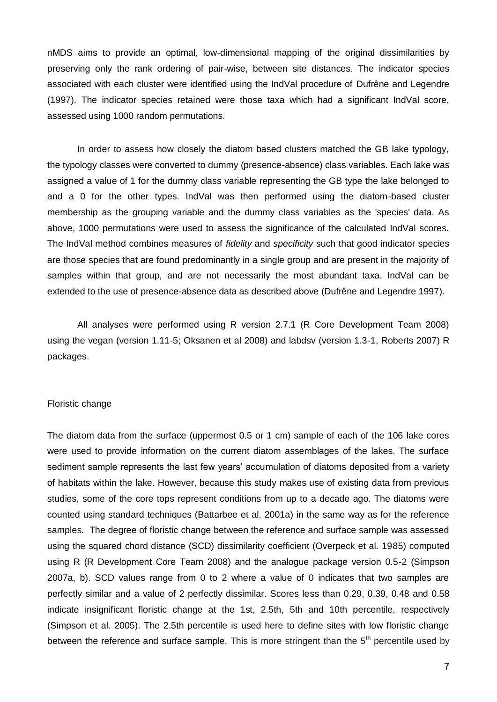nMDS aims to provide an optimal, low-dimensional mapping of the original dissimilarities by preserving only the rank ordering of pair-wise, between site distances. The indicator species associated with each cluster were identified using the IndVal procedure of Dufrêne and Legendre (1997). The indicator species retained were those taxa which had a significant IndVal score, assessed using 1000 random permutations.

In order to assess how closely the diatom based clusters matched the GB lake typology, the typology classes were converted to dummy (presence-absence) class variables. Each lake was assigned a value of 1 for the dummy class variable representing the GB type the lake belonged to and a 0 for the other types. IndVal was then performed using the diatom-based cluster membership as the grouping variable and the dummy class variables as the 'species' data. As above, 1000 permutations were used to assess the significance of the calculated IndVal scores. The IndVal method combines measures of *fidelity* and *specificity* such that good indicator species are those species that are found predominantly in a single group and are present in the majority of samples within that group, and are not necessarily the most abundant taxa. IndVal can be extended to the use of presence-absence data as described above (Dufrêne and Legendre 1997).

All analyses were performed using R version 2.7.1 (R Core Development Team 2008) using the vegan (version 1.11-5; Oksanen et al 2008) and labdsv (version 1.3-1, Roberts 2007) R packages.

#### Floristic change

The diatom data from the surface (uppermost 0.5 or 1 cm) sample of each of the 106 lake cores were used to provide information on the current diatom assemblages of the lakes. The surface sediment sample represents the last few years' accumulation of diatoms deposited from a variety of habitats within the lake. However, because this study makes use of existing data from previous studies, some of the core tops represent conditions from up to a decade ago. The diatoms were counted using standard techniques (Battarbee et al. 2001a) in the same way as for the reference samples. The degree of floristic change between the reference and surface sample was assessed using the squared chord distance (SCD) dissimilarity coefficient (Overpeck et al. 1985) computed using R (R Development Core Team 2008) and the analogue package version 0.5-2 (Simpson 2007a, b). SCD values range from 0 to 2 where a value of 0 indicates that two samples are perfectly similar and a value of 2 perfectly dissimilar. Scores less than 0.29, 0.39, 0.48 and 0.58 indicate insignificant floristic change at the 1st, 2.5th, 5th and 10th percentile, respectively (Simpson et al. 2005). The 2.5th percentile is used here to define sites with low floristic change between the reference and surface sample. This is more stringent than the  $5<sup>th</sup>$  percentile used by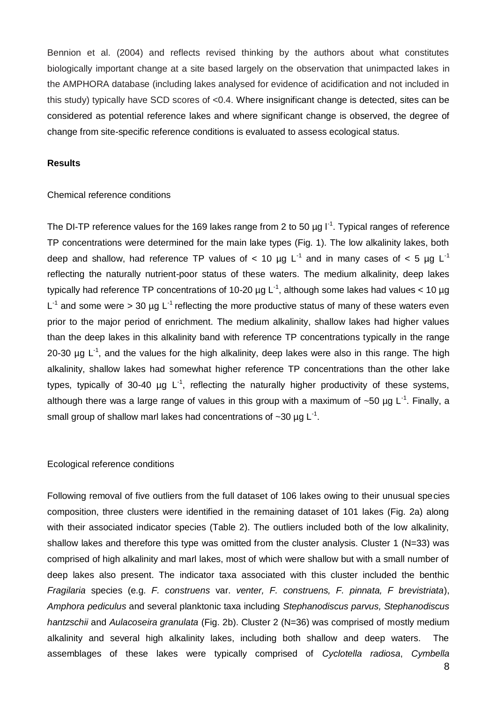Bennion et al. (2004) and reflects revised thinking by the authors about what constitutes biologically important change at a site based largely on the observation that unimpacted lakes in the AMPHORA database (including lakes analysed for evidence of acidification and not included in this study) typically have SCD scores of <0.4. Where insignificant change is detected, sites can be considered as potential reference lakes and where significant change is observed, the degree of change from site-specific reference conditions is evaluated to assess ecological status.

#### **Results**

#### Chemical reference conditions

The DI-TP reference values for the 169 lakes range from 2 to 50  $\mu$ g l<sup>-1</sup>. Typical ranges of reference TP concentrations were determined for the main lake types (Fig. 1). The low alkalinity lakes, both deep and shallow, had reference TP values of  $< 10 \mu g L^{-1}$  and in many cases of  $< 5 \mu g L^{-1}$ reflecting the naturally nutrient-poor status of these waters. The medium alkalinity, deep lakes typically had reference TP concentrations of 10-20  $\mu$ g L<sup>-1</sup>, although some lakes had values < 10  $\mu$ g  $L^{-1}$  and some were > 30 µg  $L^{-1}$  reflecting the more productive status of many of these waters even prior to the major period of enrichment. The medium alkalinity, shallow lakes had higher values than the deep lakes in this alkalinity band with reference TP concentrations typically in the range 20-30  $\mu$ g L<sup>-1</sup>, and the values for the high alkalinity, deep lakes were also in this range. The high alkalinity, shallow lakes had somewhat higher reference TP concentrations than the other lake types, typically of 30-40  $\mu$ g L<sup>-1</sup>, reflecting the naturally higher productivity of these systems, although there was a large range of values in this group with a maximum of  $\sim$ 50 µg L<sup>-1</sup>. Finally, a small group of shallow marl lakes had concentrations of  $\sim$ 30  $\mu$ g L<sup>-1</sup>.

#### Ecological reference conditions

Following removal of five outliers from the full dataset of 106 lakes owing to their unusual species composition, three clusters were identified in the remaining dataset of 101 lakes (Fig. 2a) along with their associated indicator species (Table 2). The outliers included both of the low alkalinity, shallow lakes and therefore this type was omitted from the cluster analysis. Cluster 1 (N=33) was comprised of high alkalinity and marl lakes, most of which were shallow but with a small number of deep lakes also present. The indicator taxa associated with this cluster included the benthic *Fragilaria* species (e.g. *F. construens* var. *venter, F. construens, F. pinnata, F brevistriata*), *Amphora pediculus* and several planktonic taxa including *Stephanodiscus parvus, Stephanodiscus hantzschii* and *Aulacoseira granulata* (Fig. 2b). Cluster 2 (N=36) was comprised of mostly medium alkalinity and several high alkalinity lakes, including both shallow and deep waters. The assemblages of these lakes were typically comprised of *Cyclotella radiosa*, *Cymbella*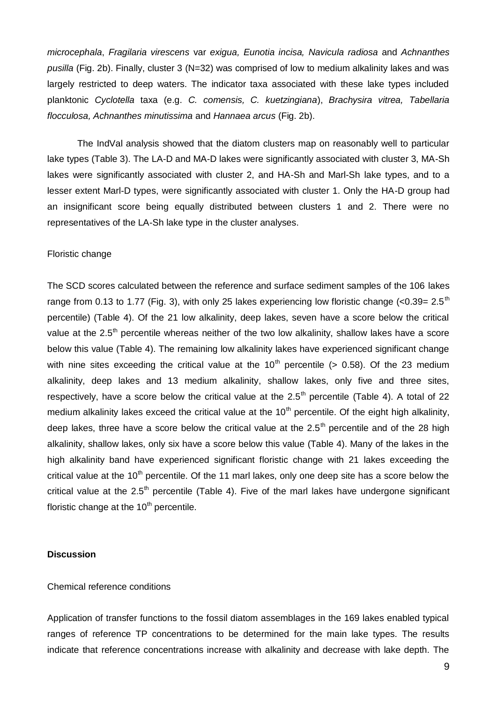*microcephala*, *Fragilaria virescens* var *exigua, Eunotia incisa, Navicula radiosa* and *Achnanthes pusilla* (Fig. 2b). Finally, cluster 3 (N=32) was comprised of low to medium alkalinity lakes and was largely restricted to deep waters. The indicator taxa associated with these lake types included planktonic *Cyclotella* taxa (e.g. *C. comensis, C. kuetzingiana*), *Brachysira vitrea, Tabellaria flocculosa, Achnanthes minutissima* and *Hannaea arcus* (Fig. 2b).

The IndVal analysis showed that the diatom clusters map on reasonably well to particular lake types (Table 3). The LA-D and MA-D lakes were significantly associated with cluster 3, MA-Sh lakes were significantly associated with cluster 2, and HA-Sh and Marl-Sh lake types, and to a lesser extent Marl-D types, were significantly associated with cluster 1. Only the HA-D group had an insignificant score being equally distributed between clusters 1 and 2. There were no representatives of the LA-Sh lake type in the cluster analyses.

#### Floristic change

The SCD scores calculated between the reference and surface sediment samples of the 106 lakes range from 0.13 to 1.77 (Fig. 3), with only 25 lakes experiencing low floristic change  $( $0.39=2.5<sup>th</sup>$$ percentile) (Table 4). Of the 21 low alkalinity, deep lakes, seven have a score below the critical value at the  $2.5<sup>th</sup>$  percentile whereas neither of the two low alkalinity, shallow lakes have a score below this value (Table 4). The remaining low alkalinity lakes have experienced significant change with nine sites exceeding the critical value at the  $10<sup>th</sup>$  percentile (> 0.58). Of the 23 medium alkalinity, deep lakes and 13 medium alkalinity, shallow lakes, only five and three sites, respectively, have a score below the critical value at the  $2.5<sup>th</sup>$  percentile (Table 4). A total of 22 medium alkalinity lakes exceed the critical value at the  $10<sup>th</sup>$  percentile. Of the eight high alkalinity, deep lakes, three have a score below the critical value at the  $2.5<sup>th</sup>$  percentile and of the 28 high alkalinity, shallow lakes, only six have a score below this value (Table 4). Many of the lakes in the high alkalinity band have experienced significant floristic change with 21 lakes exceeding the critical value at the  $10<sup>th</sup>$  percentile. Of the 11 marl lakes, only one deep site has a score below the critical value at the  $2.5<sup>th</sup>$  percentile (Table 4). Five of the marl lakes have undergone significant floristic change at the  $10<sup>th</sup>$  percentile.

#### **Discussion**

#### Chemical reference conditions

Application of transfer functions to the fossil diatom assemblages in the 169 lakes enabled typical ranges of reference TP concentrations to be determined for the main lake types. The results indicate that reference concentrations increase with alkalinity and decrease with lake depth. The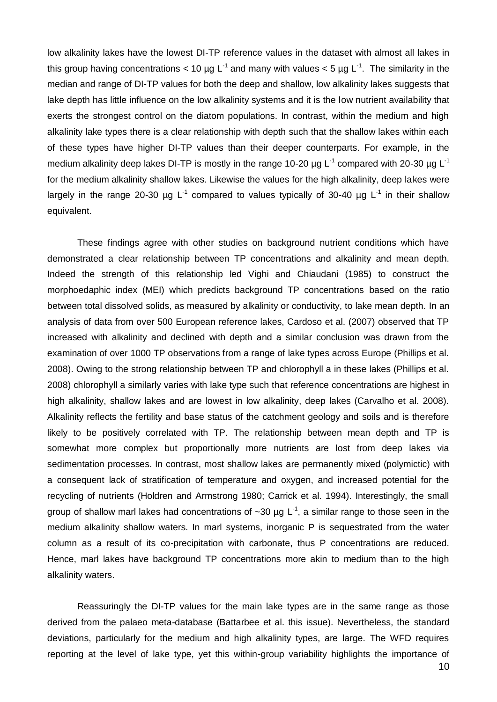low alkalinity lakes have the lowest DI-TP reference values in the dataset with almost all lakes in this group having concentrations < 10 µg L<sup>-1</sup> and many with values < 5 µg L<sup>-1</sup>. The similarity in the median and range of DI-TP values for both the deep and shallow, low alkalinity lakes suggests that lake depth has little influence on the low alkalinity systems and it is the low nutrient availability that exerts the strongest control on the diatom populations. In contrast, within the medium and high alkalinity lake types there is a clear relationship with depth such that the shallow lakes within each of these types have higher DI-TP values than their deeper counterparts. For example, in the medium alkalinity deep lakes DI-TP is mostly in the range 10-20  $\mu$ g L<sup>-1</sup> compared with 20-30  $\mu$ g L<sup>-1</sup> for the medium alkalinity shallow lakes. Likewise the values for the high alkalinity, deep lakes were largely in the range 20-30 µg L<sup>-1</sup> compared to values typically of 30-40 µg L<sup>-1</sup> in their shallow equivalent.

These findings agree with other studies on background nutrient conditions which have demonstrated a clear relationship between TP concentrations and alkalinity and mean depth. Indeed the strength of this relationship led Vighi and Chiaudani (1985) to construct the morphoedaphic index (MEI) which predicts background TP concentrations based on the ratio between total dissolved solids, as measured by alkalinity or conductivity, to lake mean depth. In an analysis of data from over 500 European reference lakes, Cardoso et al. (2007) observed that TP increased with alkalinity and declined with depth and a similar conclusion was drawn from the examination of over 1000 TP observations from a range of lake types across Europe (Phillips et al. 2008). Owing to the strong relationship between TP and chlorophyll a in these lakes (Phillips et al. 2008) chlorophyll a similarly varies with lake type such that reference concentrations are highest in high alkalinity, shallow lakes and are lowest in low alkalinity, deep lakes (Carvalho et al. 2008). Alkalinity reflects the fertility and base status of the catchment geology and soils and is therefore likely to be positively correlated with TP. The relationship between mean depth and TP is somewhat more complex but proportionally more nutrients are lost from deep lakes via sedimentation processes. In contrast, most shallow lakes are permanently mixed (polymictic) with a consequent lack of stratification of temperature and oxygen, and increased potential for the recycling of nutrients (Holdren and Armstrong 1980; Carrick et al. 1994). Interestingly, the small group of shallow marl lakes had concentrations of  $\sim$ 30 µg L<sup>-1</sup>, a similar range to those seen in the medium alkalinity shallow waters. In marl systems, inorganic P is sequestrated from the water column as a result of its co-precipitation with carbonate, thus P concentrations are reduced. Hence, marl lakes have background TP concentrations more akin to medium than to the high alkalinity waters.

Reassuringly the DI-TP values for the main lake types are in the same range as those derived from the palaeo meta-database (Battarbee et al. this issue). Nevertheless, the standard deviations, particularly for the medium and high alkalinity types, are large. The WFD requires reporting at the level of lake type, yet this within-group variability highlights the importance of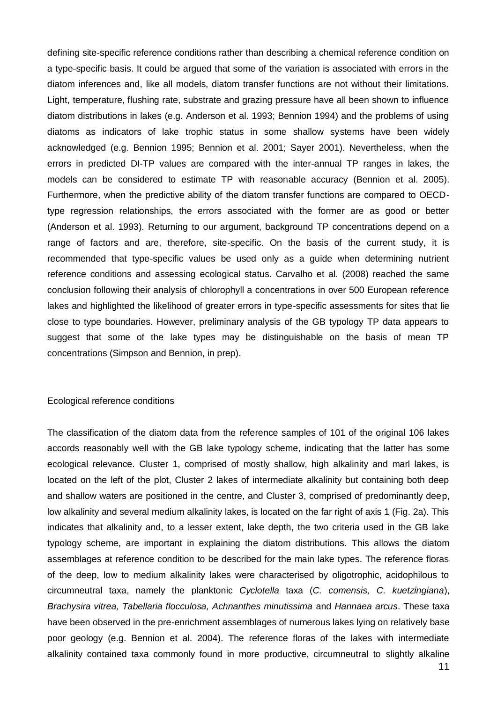defining site-specific reference conditions rather than describing a chemical reference condition on a type-specific basis. It could be argued that some of the variation is associated with errors in the diatom inferences and, like all models, diatom transfer functions are not without their limitations. Light, temperature, flushing rate, substrate and grazing pressure have all been shown to influence diatom distributions in lakes (e.g. Anderson et al. 1993; Bennion 1994) and the problems of using diatoms as indicators of lake trophic status in some shallow systems have been widely acknowledged (e.g. Bennion 1995; Bennion et al. 2001; Sayer 2001). Nevertheless, when the errors in predicted DI-TP values are compared with the inter-annual TP ranges in lakes, the models can be considered to estimate TP with reasonable accuracy (Bennion et al. 2005). Furthermore, when the predictive ability of the diatom transfer functions are compared to OECDtype regression relationships, the errors associated with the former are as good or better (Anderson et al. 1993). Returning to our argument, background TP concentrations depend on a range of factors and are, therefore, site-specific. On the basis of the current study, it is recommended that type-specific values be used only as a guide when determining nutrient reference conditions and assessing ecological status. Carvalho et al. (2008) reached the same conclusion following their analysis of chlorophyll a concentrations in over 500 European reference lakes and highlighted the likelihood of greater errors in type-specific assessments for sites that lie close to type boundaries. However, preliminary analysis of the GB typology TP data appears to suggest that some of the lake types may be distinguishable on the basis of mean TP concentrations (Simpson and Bennion, in prep).

#### Ecological reference conditions

The classification of the diatom data from the reference samples of 101 of the original 106 lakes accords reasonably well with the GB lake typology scheme, indicating that the latter has some ecological relevance. Cluster 1, comprised of mostly shallow, high alkalinity and marl lakes, is located on the left of the plot, Cluster 2 lakes of intermediate alkalinity but containing both deep and shallow waters are positioned in the centre, and Cluster 3, comprised of predominantly deep, low alkalinity and several medium alkalinity lakes, is located on the far right of axis 1 (Fig. 2a). This indicates that alkalinity and, to a lesser extent, lake depth, the two criteria used in the GB lake typology scheme, are important in explaining the diatom distributions. This allows the diatom assemblages at reference condition to be described for the main lake types. The reference floras of the deep, low to medium alkalinity lakes were characterised by oligotrophic, acidophilous to circumneutral taxa, namely the planktonic *Cyclotella* taxa (*C. comensis, C. kuetzingiana*), *Brachysira vitrea, Tabellaria flocculosa, Achnanthes minutissima* and *Hannaea arcus*. These taxa have been observed in the pre-enrichment assemblages of numerous lakes lying on relatively base poor geology (e.g. Bennion et al. 2004). The reference floras of the lakes with intermediate alkalinity contained taxa commonly found in more productive, circumneutral to slightly alkaline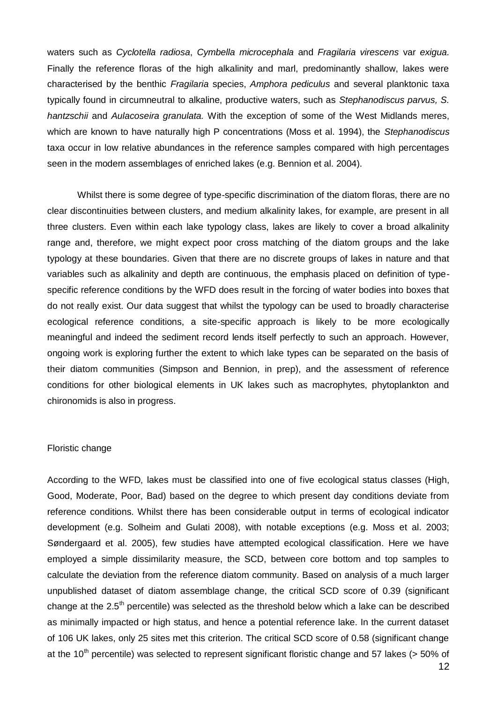waters such as *Cyclotella radiosa*, *Cymbella microcephala* and *Fragilaria virescens* var *exigua.*  Finally the reference floras of the high alkalinity and marl, predominantly shallow, lakes were characterised by the benthic *Fragilaria* species, *Amphora pediculus* and several planktonic taxa typically found in circumneutral to alkaline, productive waters, such as *Stephanodiscus parvus, S. hantzschii* and *Aulacoseira granulata.* With the exception of some of the West Midlands meres, which are known to have naturally high P concentrations (Moss et al. 1994), the *Stephanodiscus* taxa occur in low relative abundances in the reference samples compared with high percentages seen in the modern assemblages of enriched lakes (e.g. Bennion et al. 2004).

Whilst there is some degree of type-specific discrimination of the diatom floras, there are no clear discontinuities between clusters, and medium alkalinity lakes, for example, are present in all three clusters. Even within each lake typology class, lakes are likely to cover a broad alkalinity range and, therefore, we might expect poor cross matching of the diatom groups and the lake typology at these boundaries. Given that there are no discrete groups of lakes in nature and that variables such as alkalinity and depth are continuous, the emphasis placed on definition of typespecific reference conditions by the WFD does result in the forcing of water bodies into boxes that do not really exist. Our data suggest that whilst the typology can be used to broadly characterise ecological reference conditions, a site-specific approach is likely to be more ecologically meaningful and indeed the sediment record lends itself perfectly to such an approach. However, ongoing work is exploring further the extent to which lake types can be separated on the basis of their diatom communities (Simpson and Bennion, in prep), and the assessment of reference conditions for other biological elements in UK lakes such as macrophytes, phytoplankton and chironomids is also in progress.

#### Floristic change

According to the WFD, lakes must be classified into one of five ecological status classes (High, Good, Moderate, Poor, Bad) based on the degree to which present day conditions deviate from reference conditions. Whilst there has been considerable output in terms of ecological indicator development (e.g. Solheim and Gulati 2008), with notable exceptions (e.g. Moss et al. 2003; Søndergaard et al. 2005), few studies have attempted ecological classification. Here we have employed a simple dissimilarity measure, the SCD, between core bottom and top samples to calculate the deviation from the reference diatom community. Based on analysis of a much larger unpublished dataset of diatom assemblage change, the critical SCD score of 0.39 (significant change at the  $2.5<sup>th</sup>$  percentile) was selected as the threshold below which a lake can be described as minimally impacted or high status, and hence a potential reference lake. In the current dataset of 106 UK lakes, only 25 sites met this criterion. The critical SCD score of 0.58 (significant change at the 10<sup>th</sup> percentile) was selected to represent significant floristic change and 57 lakes ( $>$  50% of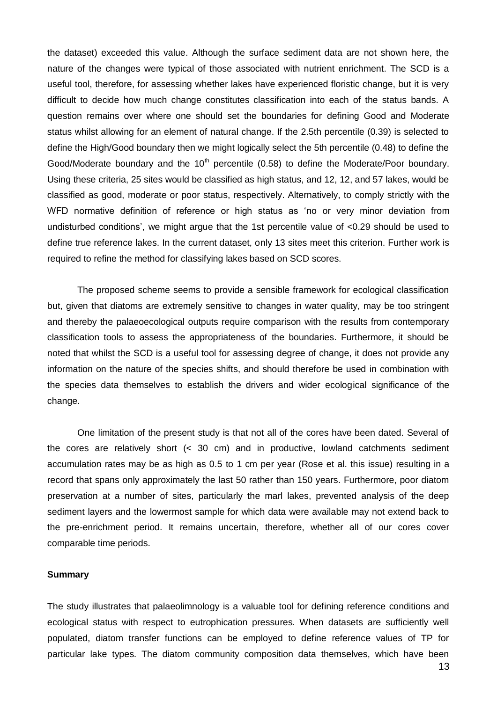the dataset) exceeded this value. Although the surface sediment data are not shown here, the nature of the changes were typical of those associated with nutrient enrichment. The SCD is a useful tool, therefore, for assessing whether lakes have experienced floristic change, but it is very difficult to decide how much change constitutes classification into each of the status bands. A question remains over where one should set the boundaries for defining Good and Moderate status whilst allowing for an element of natural change. If the 2.5th percentile (0.39) is selected to define the High/Good boundary then we might logically select the 5th percentile (0.48) to define the Good/Moderate boundary and the  $10<sup>th</sup>$  percentile (0.58) to define the Moderate/Poor boundary. Using these criteria, 25 sites would be classified as high status, and 12, 12, and 57 lakes, would be classified as good, moderate or poor status, respectively. Alternatively, to comply strictly with the WFD normative definition of reference or high status as 'no or very minor deviation from undisturbed conditions', we might argue that the 1st percentile value of <0.29 should be used to define true reference lakes. In the current dataset, only 13 sites meet this criterion. Further work is required to refine the method for classifying lakes based on SCD scores.

The proposed scheme seems to provide a sensible framework for ecological classification but, given that diatoms are extremely sensitive to changes in water quality, may be too stringent and thereby the palaeoecological outputs require comparison with the results from contemporary classification tools to assess the appropriateness of the boundaries. Furthermore, it should be noted that whilst the SCD is a useful tool for assessing degree of change, it does not provide any information on the nature of the species shifts, and should therefore be used in combination with the species data themselves to establish the drivers and wider ecological significance of the change.

One limitation of the present study is that not all of the cores have been dated. Several of the cores are relatively short (< 30 cm) and in productive, lowland catchments sediment accumulation rates may be as high as 0.5 to 1 cm per year (Rose et al. this issue) resulting in a record that spans only approximately the last 50 rather than 150 years. Furthermore, poor diatom preservation at a number of sites, particularly the marl lakes, prevented analysis of the deep sediment layers and the lowermost sample for which data were available may not extend back to the pre-enrichment period. It remains uncertain, therefore, whether all of our cores cover comparable time periods.

#### **Summary**

The study illustrates that palaeolimnology is a valuable tool for defining reference conditions and ecological status with respect to eutrophication pressures. When datasets are sufficiently well populated, diatom transfer functions can be employed to define reference values of TP for particular lake types. The diatom community composition data themselves, which have been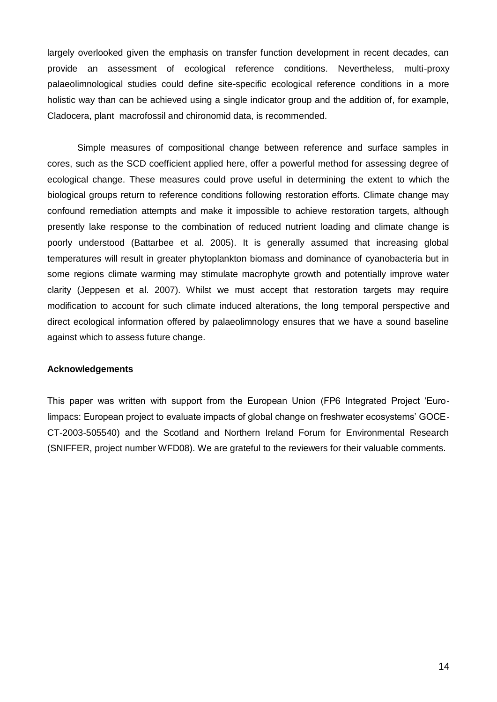largely overlooked given the emphasis on transfer function development in recent decades, can provide an assessment of ecological reference conditions. Nevertheless, multi-proxy palaeolimnological studies could define site-specific ecological reference conditions in a more holistic way than can be achieved using a single indicator group and the addition of, for example, Cladocera, plant macrofossil and chironomid data, is recommended.

Simple measures of compositional change between reference and surface samples in cores, such as the SCD coefficient applied here, offer a powerful method for assessing degree of ecological change. These measures could prove useful in determining the extent to which the biological groups return to reference conditions following restoration efforts. Climate change may confound remediation attempts and make it impossible to achieve restoration targets, although presently lake response to the combination of reduced nutrient loading and climate change is poorly understood (Battarbee et al. 2005). It is generally assumed that increasing global temperatures will result in greater phytoplankton biomass and dominance of cyanobacteria but in some regions climate warming may stimulate macrophyte growth and potentially improve water clarity (Jeppesen et al. 2007). Whilst we must accept that restoration targets may require modification to account for such climate induced alterations, the long temporal perspective and direct ecological information offered by palaeolimnology ensures that we have a sound baseline against which to assess future change.

#### **Acknowledgements**

This paper was written with support from the European Union (FP6 Integrated Project 'Eurolimpacs: European project to evaluate impacts of global change on freshwater ecosystems' GOCE-CT-2003-505540) and the Scotland and Northern Ireland Forum for Environmental Research (SNIFFER, project number WFD08). We are grateful to the reviewers for their valuable comments.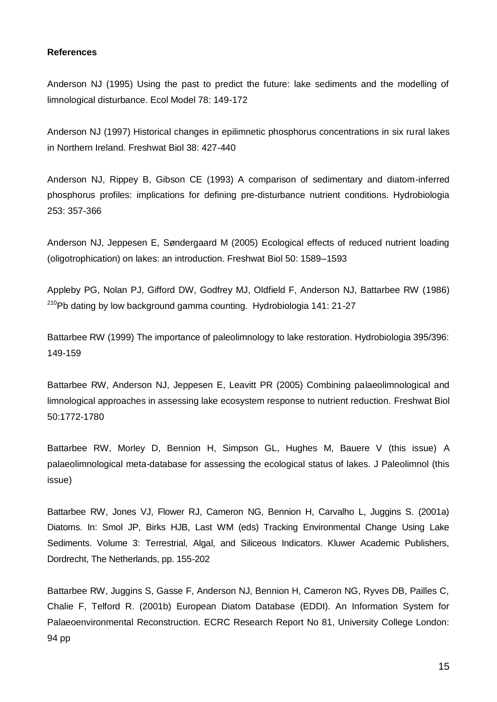#### **References**

Anderson NJ (1995) Using the past to predict the future: lake sediments and the modelling of limnological disturbance. Ecol Model 78: 149-172

Anderson NJ (1997) Historical changes in epilimnetic phosphorus concentrations in six rural lakes in Northern Ireland. Freshwat Biol 38: 427-440

Anderson NJ, Rippey B, Gibson CE (1993) A comparison of sedimentary and diatom-inferred phosphorus profiles: implications for defining pre-disturbance nutrient conditions. Hydrobiologia 253: 357-366

Anderson NJ, Jeppesen E, Søndergaard M (2005) Ecological effects of reduced nutrient loading (oligotrophication) on lakes: an introduction. Freshwat Biol 50: 1589–1593

Appleby PG, Nolan PJ, Gifford DW, Godfrey MJ, Oldfield F, Anderson NJ, Battarbee RW (1986)  $^{210}$ Pb dating by low background gamma counting. Hydrobiologia 141: 21-27

Battarbee RW (1999) The importance of paleolimnology to lake restoration. Hydrobiologia 395/396: 149-159

Battarbee RW, Anderson NJ, Jeppesen E, Leavitt PR (2005) Combining palaeolimnological and limnological approaches in assessing lake ecosystem response to nutrient reduction. Freshwat Biol 50:1772-1780

Battarbee RW, Morley D, Bennion H, Simpson GL, Hughes M, Bauere V (this issue) A palaeolimnological meta-database for assessing the ecological status of lakes. J Paleolimnol (this issue)

Battarbee RW, Jones VJ, Flower RJ, Cameron NG, Bennion H, Carvalho L, Juggins S. (2001a) Diatoms. In: Smol JP, Birks HJB, Last WM (eds) Tracking Environmental Change Using Lake Sediments. Volume 3: Terrestrial, Algal, and Siliceous Indicators. Kluwer Academic Publishers, Dordrecht, The Netherlands, pp. 155-202

Battarbee RW, Juggins S, Gasse F, Anderson NJ, Bennion H, Cameron NG, Ryves DB, Pailles C, Chalie F, Telford R. (2001b) European Diatom Database (EDDI). An Information System for Palaeoenvironmental Reconstruction. ECRC Research Report No 81, University College London: 94 pp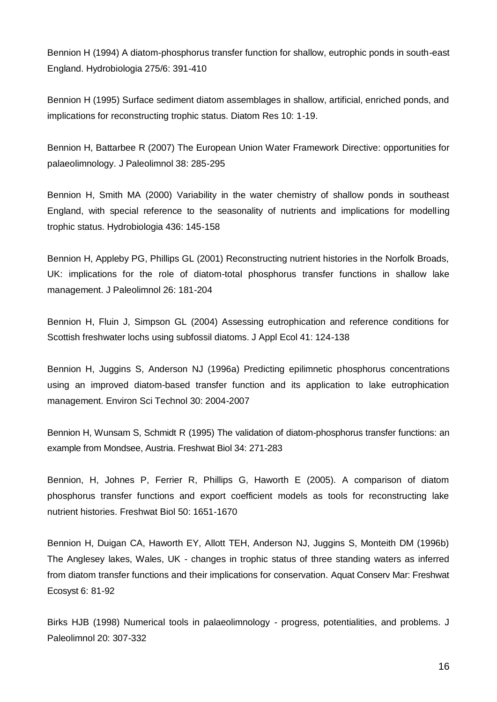Bennion H (1994) A diatom-phosphorus transfer function for shallow, eutrophic ponds in south-east England. Hydrobiologia 275/6: 391-410

Bennion H (1995) Surface sediment diatom assemblages in shallow, artificial, enriched ponds, and implications for reconstructing trophic status. Diatom Res 10: 1-19.

Bennion H, Battarbee R (2007) The European Union Water Framework Directive: opportunities for palaeolimnology. J Paleolimnol 38: 285-295

Bennion H, Smith MA (2000) Variability in the water chemistry of shallow ponds in southeast England, with special reference to the seasonality of nutrients and implications for modelling trophic status. Hydrobiologia 436: 145-158

Bennion H, Appleby PG, Phillips GL (2001) Reconstructing nutrient histories in the Norfolk Broads, UK: implications for the role of diatom-total phosphorus transfer functions in shallow lake management. J Paleolimnol 26: 181-204

Bennion H, Fluin J, Simpson GL (2004) Assessing eutrophication and reference conditions for Scottish freshwater lochs using subfossil diatoms. J Appl Ecol 41: 124-138

Bennion H, Juggins S, Anderson NJ (1996a) Predicting epilimnetic phosphorus concentrations using an improved diatom-based transfer function and its application to lake eutrophication management. Environ Sci Technol 30: 2004-2007

Bennion H, Wunsam S, Schmidt R (1995) The validation of diatom-phosphorus transfer functions: an example from Mondsee, Austria. Freshwat Biol 34: 271-283

Bennion, H, Johnes P, Ferrier R, Phillips G, Haworth E (2005). A comparison of diatom phosphorus transfer functions and export coefficient models as tools for reconstructing lake nutrient histories. Freshwat Biol 50: 1651-1670

Bennion H, Duigan CA, Haworth EY, Allott TEH, Anderson NJ, Juggins S, Monteith DM (1996b) The Anglesey lakes, Wales, UK - changes in trophic status of three standing waters as inferred from diatom transfer functions and their implications for conservation. Aquat Conserv Mar: Freshwat Ecosyst 6: 81-92

Birks HJB (1998) Numerical tools in palaeolimnology - progress, potentialities, and problems. J Paleolimnol 20: 307-332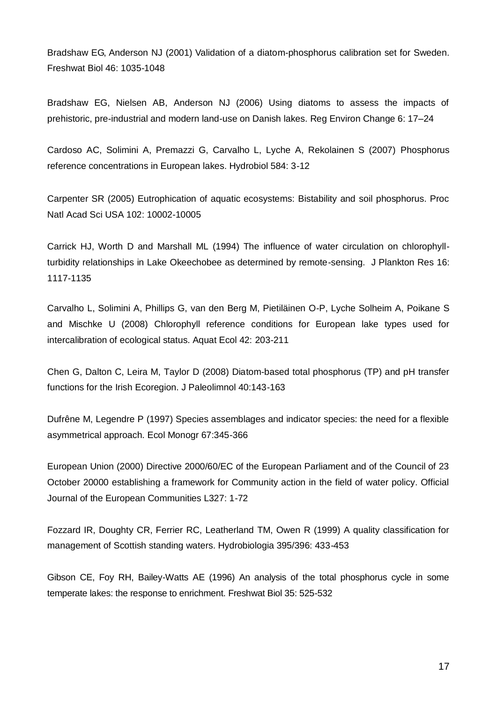Bradshaw EG, Anderson NJ (2001) Validation of a diatom-phosphorus calibration set for Sweden. Freshwat Biol 46: 1035-1048

Bradshaw EG, Nielsen AB, Anderson NJ (2006) Using diatoms to assess the impacts of prehistoric, pre-industrial and modern land-use on Danish lakes. Reg Environ Change 6: 17–24

Cardoso AC, Solimini A, Premazzi G, Carvalho L, Lyche A, Rekolainen S (2007) Phosphorus reference concentrations in European lakes. Hydrobiol 584: 3-12

Carpenter SR (2005) Eutrophication of aquatic ecosystems: Bistability and soil phosphorus. Proc Natl Acad Sci USA 102: 10002-10005

Carrick HJ, Worth D and Marshall ML (1994) The influence of water circulation on chlorophyllturbidity relationships in Lake Okeechobee as determined by remote-sensing. J Plankton Res 16: 1117-1135

Carvalho L, Solimini A, Phillips G, van den Berg M, Pietiläinen O-P, Lyche Solheim A, Poikane S and Mischke U (2008) Chlorophyll reference conditions for European lake types used for intercalibration of ecological status. Aquat Ecol 42: 203-211

Chen G, Dalton C, Leira M, Taylor D (2008) Diatom-based total phosphorus (TP) and pH transfer functions for the Irish Ecoregion. J Paleolimnol 40:143-163

Dufrêne M, Legendre P (1997) Species assemblages and indicator species: the need for a flexible asymmetrical approach. Ecol Monogr 67:345-366

European Union (2000) Directive 2000/60/EC of the European Parliament and of the Council of 23 October 20000 establishing a framework for Community action in the field of water policy. Official Journal of the European Communities L327: 1-72

Fozzard IR, Doughty CR, Ferrier RC, Leatherland TM, Owen R (1999) A quality classification for management of Scottish standing waters. Hydrobiologia 395/396: 433-453

Gibson CE, Foy RH, Bailey-Watts AE (1996) An analysis of the total phosphorus cycle in some temperate lakes: the response to enrichment. Freshwat Biol 35: 525-532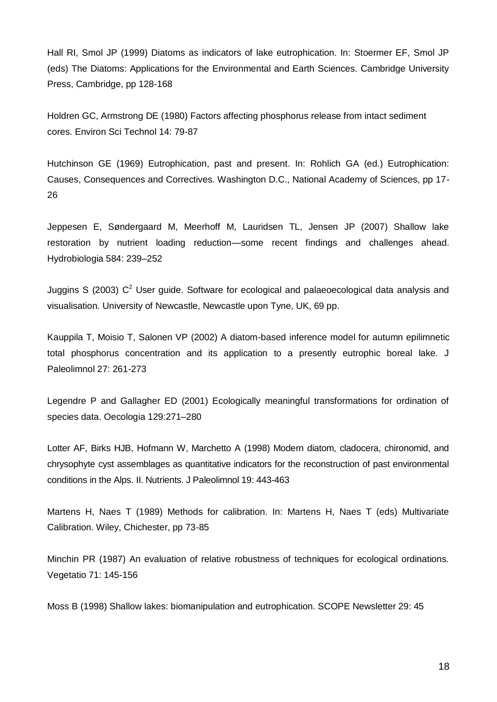Hall RI, Smol JP (1999) Diatoms as indicators of lake eutrophication. In: Stoermer EF, Smol JP (eds) The Diatoms: Applications for the Environmental and Earth Sciences. Cambridge University Press, Cambridge, pp 128-168

Holdren GC, Armstrong DE (1980) Factors affecting phosphorus release from intact sediment cores. Environ Sci Technol 14: 79-87

Hutchinson GE (1969) Eutrophication, past and present. In: Rohlich GA (ed.) Eutrophication: Causes, Consequences and Correctives. Washington D.C., National Academy of Sciences, pp 17- 26

Jeppesen E, Søndergaard M, Meerhoff M, Lauridsen TL, Jensen JP (2007) Shallow lake restoration by nutrient loading reduction—some recent findings and challenges ahead. Hydrobiologia 584: 239–252

Juggins S (2003)  $C^2$  User guide. Software for ecological and palaeoecological data analysis and visualisation. University of Newcastle, Newcastle upon Tyne, UK, 69 pp.

Kauppila T, Moisio T, Salonen VP (2002) A diatom-based inference model for autumn epilimnetic total phosphorus concentration and its application to a presently eutrophic boreal lake. J Paleolimnol 27: 261-273

Legendre P and Gallagher ED (2001) Ecologically meaningful transformations for ordination of species data. Oecologia 129:271–280

Lotter AF, Birks HJB, Hofmann W, Marchetto A (1998) Modern diatom, cladocera, chironomid, and chrysophyte cyst assemblages as quantitative indicators for the reconstruction of past environmental conditions in the Alps. II. Nutrients. J Paleolimnol 19: 443-463

Martens H, Naes T (1989) Methods for calibration. In: Martens H, Naes T (eds) Multivariate Calibration. Wiley, Chichester, pp 73-85

Minchin PR (1987) An evaluation of relative robustness of techniques for ecological ordinations. Vegetatio 71: 145-156

Moss B (1998) Shallow lakes: biomanipulation and eutrophication. SCOPE Newsletter 29: 45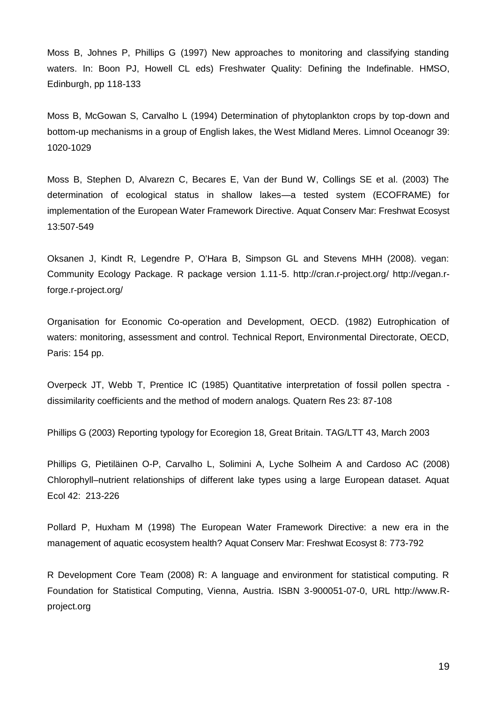Moss B, Johnes P, Phillips G (1997) New approaches to monitoring and classifying standing waters. In: Boon PJ, Howell CL eds) Freshwater Quality: Defining the Indefinable. HMSO, Edinburgh, pp 118-133

Moss B, McGowan S, Carvalho L (1994) Determination of phytoplankton crops by top-down and bottom-up mechanisms in a group of English lakes, the West Midland Meres. Limnol Oceanogr 39: 1020-1029

Moss B, Stephen D, Alvarezn C, Becares E, Van der Bund W, Collings SE et al. (2003) The determination of ecological status in shallow lakes—a tested system (ECOFRAME) for implementation of the European Water Framework Directive. Aquat Conserv Mar: Freshwat Ecosyst 13:507-549

Oksanen J, Kindt R, Legendre P, O'Hara B, Simpson GL and Stevens MHH (2008). vegan: Community Ecology Package. R package version 1.11-5. http://cran.r-project.org/ http://vegan.rforge.r-project.org/

Organisation for Economic Co-operation and Development, OECD. (1982) Eutrophication of waters: monitoring, assessment and control. Technical Report, Environmental Directorate, OECD, Paris: 154 pp.

Overpeck JT, Webb T, Prentice IC (1985) Quantitative interpretation of fossil pollen spectra dissimilarity coefficients and the method of modern analogs. Quatern Res 23: 87-108

Phillips G (2003) Reporting typology for Ecoregion 18, Great Britain. TAG/LTT 43, March 2003

Phillips G, Pietiläinen O-P, Carvalho L, Solimini A, Lyche Solheim A and Cardoso AC (2008) Chlorophyll–nutrient relationships of different lake types using a large European dataset. Aquat Ecol 42: 213-226

Pollard P, Huxham M (1998) The European Water Framework Directive: a new era in the management of aquatic ecosystem health? Aquat Conserv Mar: Freshwat Ecosyst 8: 773-792

R Development Core Team (2008) R: A language and environment for statistical computing. R Foundation for Statistical Computing, Vienna, Austria. ISBN 3-900051-07-0, URL http://www.Rproject.org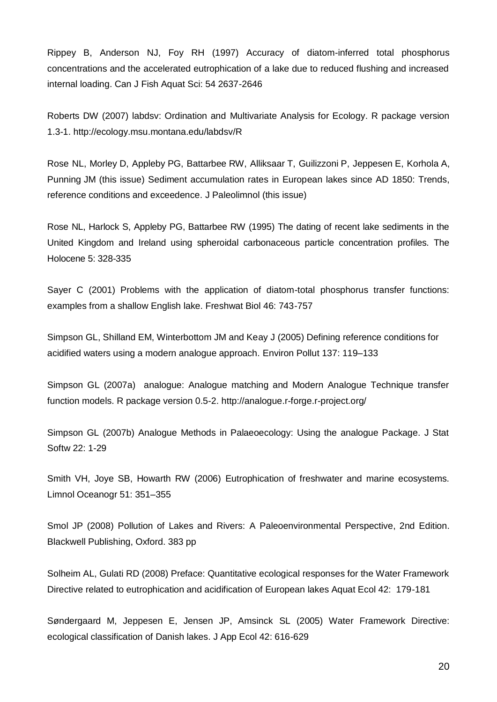Rippey B, Anderson NJ, Foy RH (1997) Accuracy of diatom-inferred total phosphorus concentrations and the accelerated eutrophication of a lake due to reduced flushing and increased internal loading. Can J Fish Aquat Sci: 54 2637-2646

Roberts DW (2007) labdsv: Ordination and Multivariate Analysis for Ecology. R package version 1.3-1. http://ecology.msu.montana.edu/labdsv/R

Rose NL, Morley D, Appleby PG, Battarbee RW, Alliksaar T, Guilizzoni P, Jeppesen E, Korhola A, Punning JM (this issue) Sediment accumulation rates in European lakes since AD 1850: Trends, reference conditions and exceedence. J Paleolimnol (this issue)

Rose NL, Harlock S, Appleby PG, Battarbee RW (1995) The dating of recent lake sediments in the United Kingdom and Ireland using spheroidal carbonaceous particle concentration profiles. The Holocene 5: 328-335

Sayer C (2001) Problems with the application of diatom-total phosphorus transfer functions: examples from a shallow English lake. Freshwat Biol 46: 743-757

Simpson GL, Shilland EM, Winterbottom JM and Keay J (2005) Defining reference conditions for acidified waters using a modern analogue approach. Environ Pollut 137: 119–133

Simpson GL (2007a) analogue: Analogue matching and Modern Analogue Technique transfer function models. R package version 0.5-2. http://analogue.r-forge.r-project.org/

Simpson GL (2007b) Analogue Methods in Palaeoecology: Using the analogue Package. J Stat Softw 22: 1-29

Smith VH, Joye SB, Howarth RW (2006) Eutrophication of freshwater and marine ecosystems. Limnol Oceanogr 51: 351–355

Smol JP (2008) Pollution of Lakes and Rivers: A Paleoenvironmental Perspective, 2nd Edition. Blackwell Publishing, Oxford. 383 pp

Solheim AL, Gulati RD (2008) Preface: Quantitative ecological responses for the Water Framework Directive related to eutrophication and acidification of European lakes Aquat Ecol 42: 179-181

Søndergaard M, Jeppesen E, Jensen JP, Amsinck SL (2005) Water Framework Directive: ecological classification of Danish lakes. J App Ecol 42: 616-629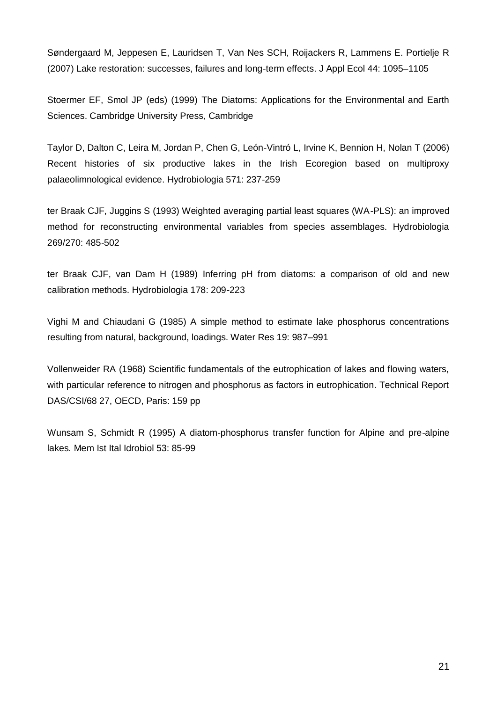Søndergaard M, Jeppesen E, Lauridsen T, Van Nes SCH, Roijackers R, Lammens E. Portielje R (2007) Lake restoration: successes, failures and long-term effects. J Appl Ecol 44: 1095–1105

Stoermer EF, Smol JP (eds) (1999) The Diatoms: Applications for the Environmental and Earth Sciences. Cambridge University Press, Cambridge

Taylor D, Dalton C, Leira M, Jordan P, Chen G, León-Vintró L, Irvine K, Bennion H, Nolan T (2006) Recent histories of six productive lakes in the Irish Ecoregion based on multiproxy palaeolimnological evidence. Hydrobiologia 571: 237-259

ter Braak CJF, Juggins S (1993) Weighted averaging partial least squares (WA-PLS): an improved method for reconstructing environmental variables from species assemblages. Hydrobiologia 269/270: 485-502

ter Braak CJF, van Dam H (1989) Inferring pH from diatoms: a comparison of old and new calibration methods. Hydrobiologia 178: 209-223

Vighi M and Chiaudani G (1985) A simple method to estimate lake phosphorus concentrations resulting from natural, background, loadings. Water Res 19: 987–991

Vollenweider RA (1968) Scientific fundamentals of the eutrophication of lakes and flowing waters, with particular reference to nitrogen and phosphorus as factors in eutrophication. Technical Report DAS/CSI/68 27, OECD, Paris: 159 pp

Wunsam S, Schmidt R (1995) A diatom-phosphorus transfer function for Alpine and pre-alpine lakes*.* Mem Ist Ital Idrobiol 53: 85-99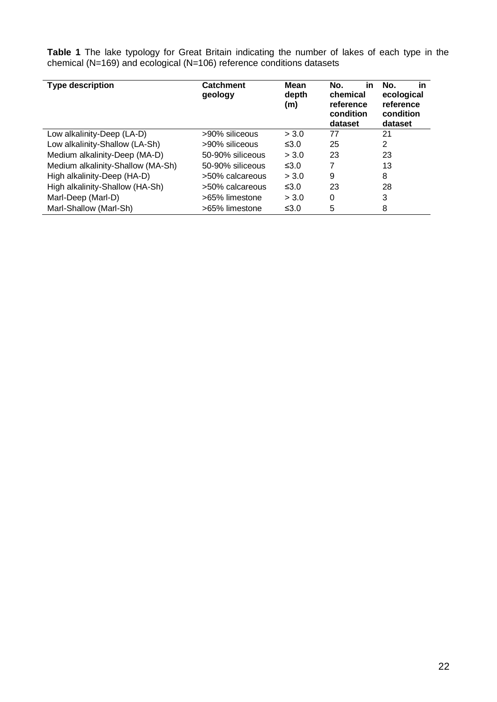**Table 1** The lake typology for Great Britain indicating the number of lakes of each type in the chemical (N=169) and ecological (N=106) reference conditions datasets

| <b>Type description</b>           | <b>Catchment</b><br>geology | Mean<br>depth<br>(m) | No.<br>in<br>chemical<br>reference<br>condition<br>dataset | in<br>No.<br>ecological<br>reference<br>condition<br>dataset |
|-----------------------------------|-----------------------------|----------------------|------------------------------------------------------------|--------------------------------------------------------------|
| Low alkalinity-Deep (LA-D)        | >90% siliceous              | > 3.0                | 77                                                         | 21                                                           |
| Low alkalinity-Shallow (LA-Sh)    | >90% siliceous              | $\leq 3.0$           | 25                                                         | 2                                                            |
| Medium alkalinity-Deep (MA-D)     | 50-90% siliceous            | > 3.0                | 23                                                         | 23                                                           |
| Medium alkalinity-Shallow (MA-Sh) | 50-90% siliceous            | $\leq 3.0$           | 7                                                          | 13                                                           |
| High alkalinity-Deep (HA-D)       | >50% calcareous             | > 3.0                | 9                                                          | 8                                                            |
| High alkalinity-Shallow (HA-Sh)   | >50% calcareous             | $\leq 3.0$           | 23                                                         | 28                                                           |
| Marl-Deep (Marl-D)                | >65% limestone              | > 3.0                | 0                                                          | 3                                                            |
| Marl-Shallow (Marl-Sh)            | >65% limestone              | ≤ $3.0$              | 5                                                          | 8                                                            |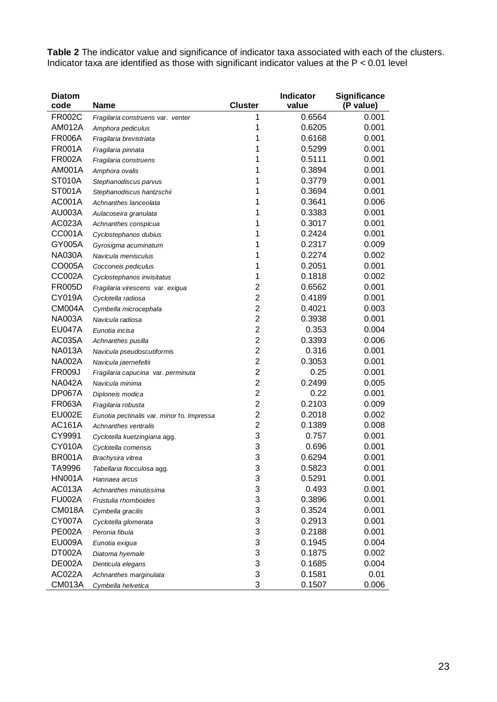**Table 2** The indicator value and significance of indicator taxa associated with each of the clusters. Indicator taxa are identified as those with significant indicator values at the P < 0.01 level

| <b>Diatom</b> |                                            |                           | Indicator | <b>Significance</b> |
|---------------|--------------------------------------------|---------------------------|-----------|---------------------|
| code          | <b>Name</b>                                | <b>Cluster</b>            | value     | (P value)           |
| <b>FR002C</b> | Fragilaria construens var. venter          | 1                         | 0.6564    | 0.001               |
| AM012A        | Amphora pediculus                          | 1                         | 0.6205    | 0.001               |
| <b>FR006A</b> | Fragilaria brevistriata                    | 1                         | 0.6168    | 0.001               |
| <b>FR001A</b> | Fragilaria pinnata                         | 1                         | 0.5299    | 0.001               |
| <b>FR002A</b> | Fragilaria construens                      | 1                         | 0.5111    | 0.001               |
| AM001A        | Amphora ovalis                             | 1                         | 0.3894    | 0.001               |
| <b>ST010A</b> | Stephanodiscus parvus                      | 1                         | 0.3779    | 0.001               |
| <b>ST001A</b> | Stephanodiscus hantzschii                  | 1                         | 0.3694    | 0.001               |
| <b>AC001A</b> | Achnanthes lanceolata                      | 1                         | 0.3641    | 0.006               |
| <b>AU003A</b> | Aulacoseira granulata                      | 1                         | 0.3383    | 0.001               |
| AC023A        | Achnanthes conspicua                       | 1                         | 0.3017    | 0.001               |
| CC001A        | Cyclostephanos dubius                      | 1                         | 0.2424    | 0.001               |
| GY005A        | Gyrosigma acuminatum                       | 1                         | 0.2317    | 0.009               |
| <b>NA030A</b> | Navicula menisculus                        | 1                         | 0.2274    | 0.002               |
| CO005A        | Cocconeis pediculus                        | 1                         | 0.2051    | 0.001               |
| CC002A        | Cyclostephanos invisitatus                 | 1                         | 0.1818    | 0.002               |
| <b>FR005D</b> | Fragilaria virescens var. exigua           | $\overline{2}$            | 0.6562    | 0.001               |
| CY019A        | Cyclotella radiosa                         | $\overline{2}$            | 0.4189    | 0.001               |
| CM004A        | Cymbella microcephala                      | $\overline{2}$            | 0.4021    | 0.003               |
| <b>NA003A</b> | Navicula radiosa                           | $\overline{2}$            | 0.3938    | 0.001               |
| <b>EU047A</b> | Eunotia incisa                             | $\overline{2}$            | 0.353     | 0.004               |
| <b>AC035A</b> | Achnanthes pusilla                         | $\overline{2}$            | 0.3393    | 0.006               |
| <b>NA013A</b> | Navicula pseudoscutiformis                 | $\overline{2}$            | 0.316     | 0.001               |
| <b>NA002A</b> | Navicula jaernefeltii                      | $\overline{2}$            | 0.3053    | 0.001               |
| <b>FR009J</b> | Fragilaria capucina var. perminuta         | $\overline{2}$            | 0.25      | 0.001               |
| <b>NA042A</b> | Navicula minima                            | $\overline{2}$            | 0.2499    | 0.005               |
| <b>DP067A</b> | Diploneis modica                           | $\overline{2}$            | 0.22      | 0.001               |
| <b>FR063A</b> | Fragilaria robusta                         | $\overline{2}$            | 0.2103    | 0.009               |
| <b>EU002E</b> | Eunotia pectinalis var. minor fo. Impressa | $\overline{2}$            | 0.2018    | 0.002               |
| <b>AC161A</b> | Achnanthes ventralis                       | $\overline{2}$            | 0.1389    | 0.008               |
| CY9991        | Cyclotella kuetzingiana agg.               | 3                         | 0.757     | 0.001               |
| <b>CY010A</b> | Cyclotella comensis                        | 3                         | 0.696     | 0.001               |
| <b>BR001A</b> | Brachysira vitrea                          | 3                         | 0.6294    | 0.001               |
| TA9996        | Tabellaria flocculosa agg.                 | 3                         | 0.5823    | 0.001               |
| <b>HN001A</b> | Hannaea arcus                              | 3                         | 0.5291    | 0.001               |
| <b>AC013A</b> | Achnanthes minutissima                     | 3                         | 0.493     | 0.001               |
| <b>FU002A</b> | Frustulia rhomboides                       | $\ensuremath{\mathsf{3}}$ | 0.3896    | 0.001               |
| <b>CM018A</b> | Cymbella gracilis                          | $\ensuremath{\mathsf{3}}$ | 0.3524    | 0.001               |
| <b>CY007A</b> | Cyclotella glomerata                       | 3                         | 0.2913    | 0.001               |
| <b>PE002A</b> | Peronia fibula                             | 3                         | 0.2188    | 0.001               |
| <b>EU009A</b> | Eunotia exigua                             | 3                         | 0.1945    | 0.004               |
| DT002A        | Diatoma hyemale                            | 3                         | 0.1875    | 0.002               |
| <b>DE002A</b> | Denticula elegans                          | 3                         | 0.1685    | 0.004               |
| AC022A        | Achnanthes marginulata                     | 3                         | 0.1581    | 0.01                |
| <b>CM013A</b> | Cymbella helvetica                         | 3                         | 0.1507    | 0.006               |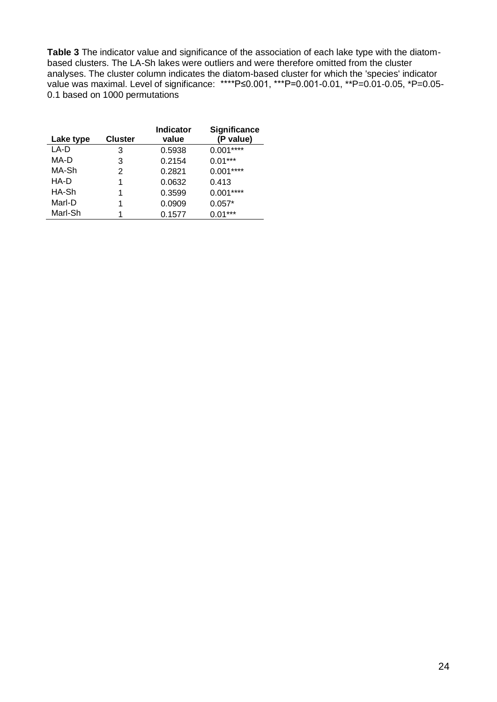**Table 3** The indicator value and significance of the association of each lake type with the diatombased clusters. The LA-Sh lakes were outliers and were therefore omitted from the cluster analyses. The cluster column indicates the diatom-based cluster for which the 'species' indicator value was maximal. Level of significance: \*\*\*\*P≤0.001, \*\*\*P=0.001-0.01, \*\*P=0.01-0.05, \*P=0.05- 0.1 based on 1000 permutations

| Lake type | <b>Cluster</b> | <b>Indicator</b><br>value | Significance<br>(P value) |
|-----------|----------------|---------------------------|---------------------------|
| LA-D      | 3              | 0.5938                    | $0.001***$                |
| MA-D      | 3              | 0.2154                    | $0.01***$                 |
| MA-Sh     | 2              | 0.2821                    | $0.001***$                |
| HA-D      | 1              | 0.0632                    | 0.413                     |
| HA-Sh     | 1              | 0.3599                    | $0.001***$                |
| Marl-D    | 1              | 0.0909                    | $0.057*$                  |
| Marl-Sh   |                | 0.1577                    | $0.01***$                 |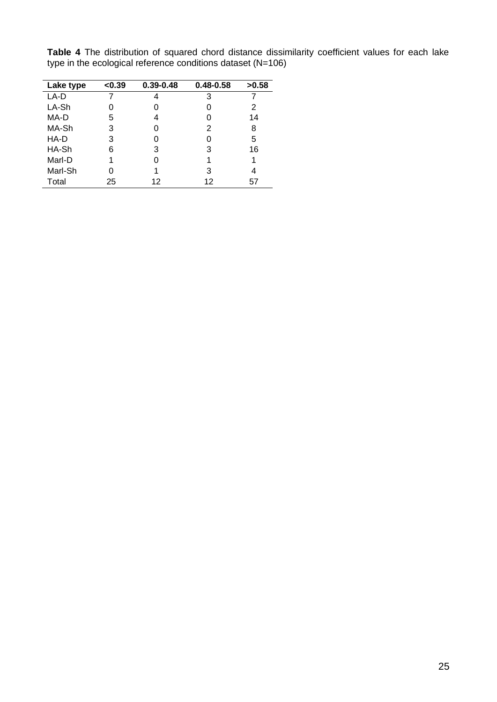| ╯         | ັ      |               |               |       |
|-----------|--------|---------------|---------------|-------|
| Lake type | < 0.39 | $0.39 - 0.48$ | $0.48 - 0.58$ | >0.58 |
| LA-D      |        |               | 3             |       |
| LA-Sh     |        |               |               | 2     |
| MA-D      | 5      | 4             |               | 14    |
| MA-Sh     | 3      |               | 2             | 8     |
| HA-D      | 3      |               |               | 5     |
| HA-Sh     | 6      | 3             | 3             | 16    |
| Marl-D    |        |               |               |       |

Marl-D 1 0 1 1 Marl-Sh 0 1 3 4 Total 25 12 12 57

**Table 4** The distribution of squared chord distance dissimilarity coefficient values for each lake type in the ecological reference conditions dataset (N=106)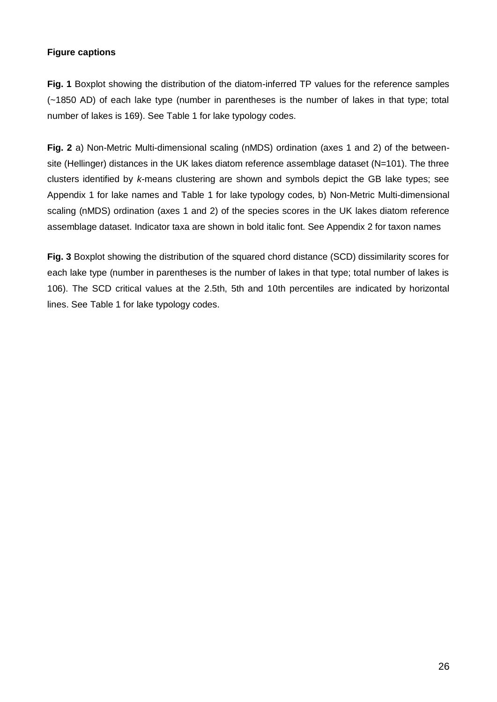## **Figure captions**

**Fig. 1** Boxplot showing the distribution of the diatom-inferred TP values for the reference samples (~1850 AD) of each lake type (number in parentheses is the number of lakes in that type; total number of lakes is 169). See Table 1 for lake typology codes.

**Fig. 2** a) Non-Metric Multi-dimensional scaling (nMDS) ordination (axes 1 and 2) of the betweensite (Hellinger) distances in the UK lakes diatom reference assemblage dataset (N=101). The three clusters identified by *k*-means clustering are shown and symbols depict the GB lake types; see Appendix 1 for lake names and Table 1 for lake typology codes, b) Non-Metric Multi-dimensional scaling (nMDS) ordination (axes 1 and 2) of the species scores in the UK lakes diatom reference assemblage dataset. Indicator taxa are shown in bold italic font. See Appendix 2 for taxon names

**Fig. 3** Boxplot showing the distribution of the squared chord distance (SCD) dissimilarity scores for each lake type (number in parentheses is the number of lakes in that type; total number of lakes is 106). The SCD critical values at the 2.5th, 5th and 10th percentiles are indicated by horizontal lines. See Table 1 for lake typology codes.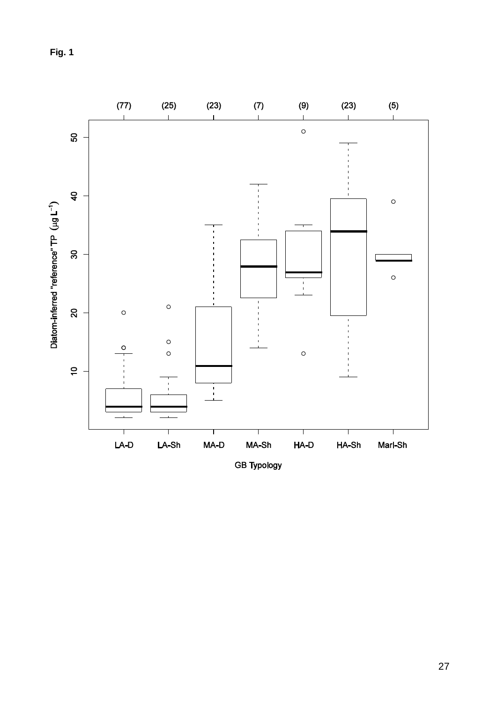**Fig. 1**

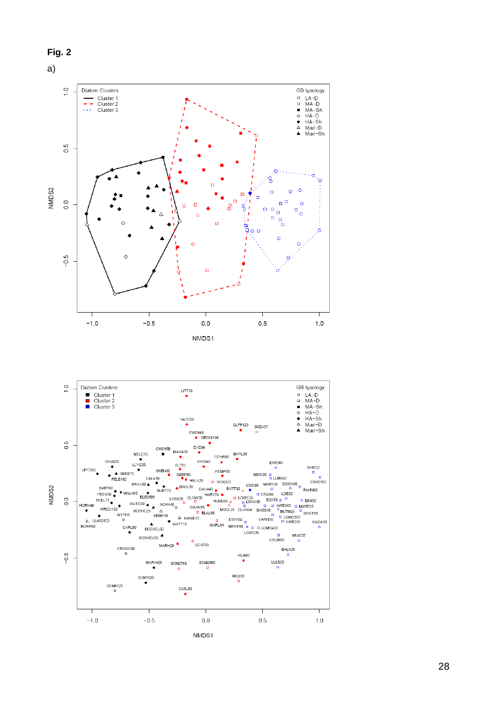

NMDS1

28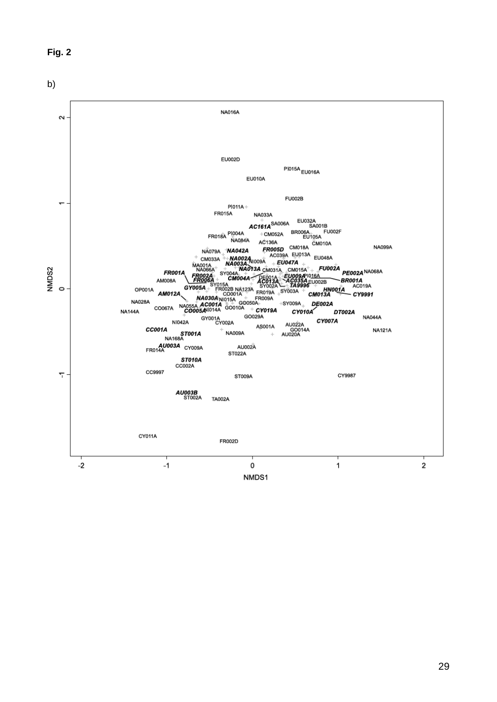



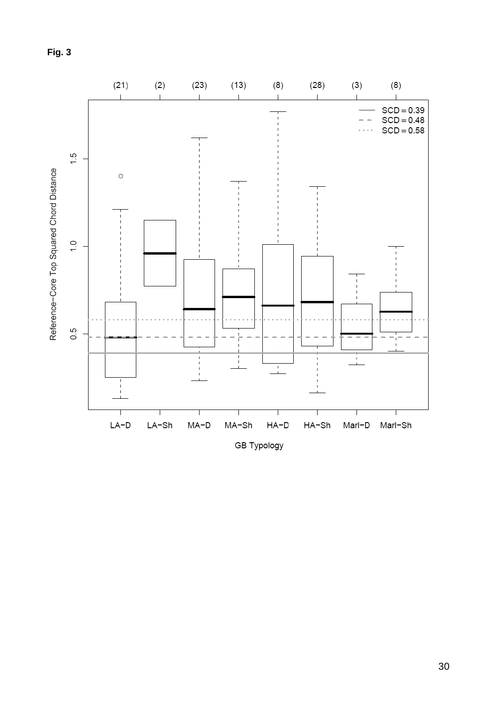**Fig. 3** 

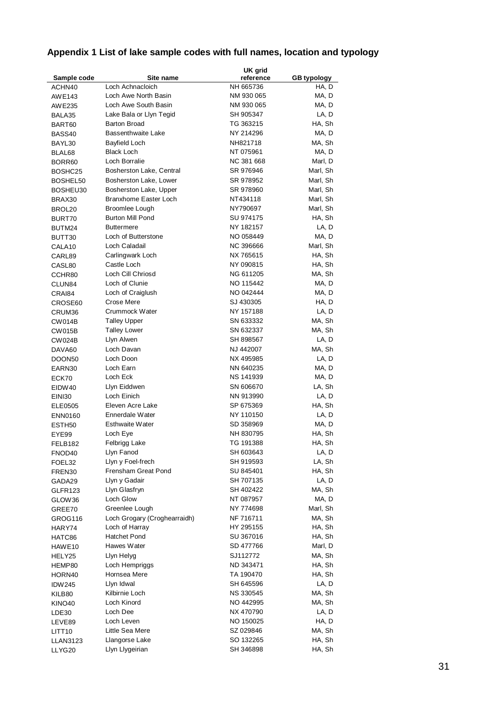# **Appendix 1 List of lake sample codes with full names, location and typology**

|                    |                                | UK grid                |                    |
|--------------------|--------------------------------|------------------------|--------------------|
| Sample code        | Site name                      | reference              | <b>GB</b> typology |
| ACHN40             | Loch Achnacloich               | NH 665736              | HA, D              |
| AWE143             | Loch Awe North Basin           | NM 930 065             | MA, D              |
| AWE235             | Loch Awe South Basin           | NM 930 065             | MA, D              |
| BALA35             | Lake Bala or Llyn Tegid        | SH 905347              | LA, D              |
| BART60             | Barton Broad                   | TG 363215              | HA, Sh             |
| BASS40             | <b>Bassenthwaite Lake</b>      | NY 214296              | MA, D              |
| BAYL30             | Bayfield Loch                  | NH821718               | MA, Sh             |
| BLAL68             | Black Loch                     | NT 075961              | MA, D              |
| BORR60             | Loch Borralie                  | NC 381 668             | Marl, D            |
| BOSHC25            | Bosherston Lake, Central       | SR 976946              | Marl, Sh           |
| BOSHEL50           | Bosherston Lake, Lower         | SR 978952              | Marl, Sh           |
| BOSHEU30           | Bosherston Lake, Upper         | SR 978960              | Marl, Sh           |
| BRAX30             | <b>Branxhome Easter Loch</b>   | NT434118               | Marl, Sh           |
| BROL20             | Broomlee Lough                 | NY790697               | Marl, Sh           |
| BURT70             | <b>Burton Mill Pond</b>        | SU 974175              | HA, Sh             |
| BUTM24             | Buttermere                     | NY 182157              | LA, D              |
| BUTT30             | Loch of Butterstone            | NO 058449              | MA, D              |
| CALA <sub>10</sub> | Loch Caladail                  | NC 396666              | Marl, Sh           |
| CARL89             | Carlingwark Loch               | NX 765615              | HA, Sh             |
| CASL80             | Castle Loch                    | NY 090815              | HA, Sh             |
| CCHR80             | Loch Cill Chriosd              | NG 611205              | MA, Sh             |
| CLUN84             | Loch of Clunie                 | NO 115442              | MA, D              |
| CRAI84             | Loch of Craiglush              | NO 042444              | MA, D              |
| CROSE60            | Crose Mere                     | SJ 430305              | HA, D              |
| CRUM36             | Crummock Water                 | NY 157188              | LA, D              |
| CW014B             | <b>Talley Upper</b>            | SN 633332              | MA, Sh             |
| CW015B             | <b>Talley Lower</b>            | SN 632337              | MA, Sh             |
| CW024B             | Llyn Alwen                     | SH 898567              | LA, D              |
| DAVA60             | Loch Davan                     | NJ 442007              | MA, Sh             |
| DOON50             | Loch Doon                      | NX 495985              | LA, D              |
| EARN30             | Loch Earn                      | NN 640235              | MA, D              |
| ECK70              | Loch Eck                       | NS 141939              | MA, D              |
| EIDW40             | Llyn Eiddwen                   | SN 606670              | LA, Sh             |
| <b>EINI30</b>      | Loch Einich                    | NN 913990              | LA, D              |
| ELE0505            | Eleven Acre Lake               | SP 675369              | HA, Sh             |
| <b>ENN0160</b>     | Ennerdale Water                | NY 110150              | LA, D              |
| ESTH <sub>50</sub> | Esthwaite Water                | SD 358969              | MA, D              |
| EYE99              | Loch Eye                       | NH 830795              | HA, Sh             |
| FELB182            | Felbrigg Lake                  | TG 191388              | HA, Sh             |
| FNOD40             | Llyn Fanod                     | SH 603643              | LA, D              |
| FOEL32             | Llyn y Foel-frech              | SH 919593              | LA, Sh             |
| FREN30             | Frensham Great Pond            | SU 845401              | HA, Sh             |
| GADA29             | Llyn y Gadair                  | SH 707135              | LA, D              |
| GLFR123            | Llyn Glasfryn                  | SH 402422              | MA, Sh             |
| GLOW36             | Loch Glow                      | NT 087957              | MA, D              |
| GREE70             | Greenlee Lough                 | NY 774698              | Marl, Sh           |
| GROG116            | Loch Grogary (Croghearraidh)   | NF 716711              | MA, Sh             |
| HARY74             | Loch of Harray                 | HY 295155              | HA, Sh             |
| HATC86             | Hatchet Pond                   | SU 367016              | HA, Sh             |
|                    | Hawes Water                    | SD 477766              | Marl, D            |
| HAWE10             | Llyn Helyg                     | SJ112772               | MA, Sh             |
| HELY25             |                                |                        |                    |
| HEMP80             | Loch Hempriggs<br>Hornsea Mere | ND 343471<br>TA 190470 | HA, Sh<br>HA, Sh   |
| HORN40             |                                |                        |                    |
| <b>IDW245</b>      | Llyn Idwal                     | SH 645596              | LA, D              |
| KILB80             | Kilbirnie Loch                 | NS 330545              | MA, Sh             |
| KINO40             | Loch Kinord                    | NO 442995              | MA, Sh             |
| LDE30              | Loch Dee                       | NX 470790              | LA, D              |
| LEVE89             | Loch Leven                     | NO 150025              | HA, D              |
| LITT10             | Little Sea Mere                | SZ 029846              | MA, Sh             |
| LLAN3123           | Llangorse Lake                 | SO 132265              | HA, Sh             |
| LLYG20             | Llyn Llygeirian                | SH 346898              | HA, Sh             |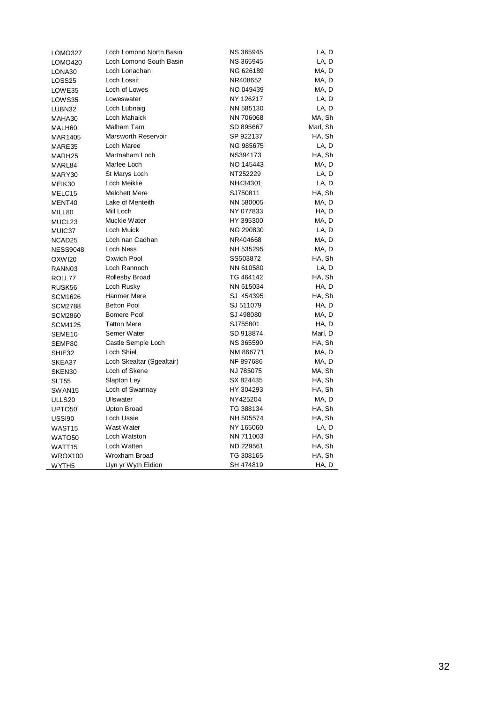| LOMO327            | Loch Lomond North Basin    | NS 365945        | LA, D    |
|--------------------|----------------------------|------------------|----------|
| LOMO420            | Loch Lomond South Basin    | NS 365945        | LA, D    |
| LONA30             | Loch Lonachan              | NG 626189        | MA, D    |
| LOSS25             | Loch Lossit                | NR408652         | MA, D    |
| LOWE35             | Loch of Lowes              | NO 049439        | MA, D    |
| LOWS35             | Loweswater                 | NY 126217        | LA, D    |
| LUBN32             | Loch Lubnaig               | NN 585130        | LA, D    |
| MAHA30             | Loch Mahaick               | NN 706068        | MA, Sh   |
| MALH60             | Malham Tarn                | SD 895667        | Marl, Sh |
| MAR1405            | <b>Marsworth Reservoir</b> | SP 922137        | HA, Sh   |
| MARE35             | Loch Maree                 | NG 985675        | LA, D    |
| MARH25             | Martnaham Loch             | NS394173         | HA, Sh   |
| MARL84             | Marlee Loch                | NO 145443        | MA, D    |
| MARY30             | St Marys Loch              | NT252229         | LA, D    |
| MEIK30             | Loch Meiklie               | NH434301         | LA, D    |
| MELC15             | <b>Melchett Mere</b>       | SJ750811         | HA, Sh   |
| MENT40             | Lake of Menteith           | NN 580005        | MA, D    |
| MILL80             | Mill Loch                  | NY 077833        | HA, D    |
| MUCL23             | Muckle Water               | HY 395300        | MA, D    |
| MUIC37             | Loch Muick                 | NO 290830        | LA, D    |
| NCAD <sub>25</sub> | Loch nan Cadhan            | NR404668         | MA, D    |
| <b>NESS9048</b>    | Loch Ness                  | NH 535295        | MA, D    |
| OXWI20             | Oxwich Pool                | SS503872         | HA, Sh   |
| RANN03             | Loch Rannoch               | NN 610580        | LA, D    |
| ROLL77             | Rollesby Broad             | TG 464142        | HA, Sh   |
| RUSK56             | Loch Rusky                 | NN 615034        | HA, D    |
| SCM1626            | Hanmer Mere                | SJ 454395        | HA, Sh   |
| <b>SCM2788</b>     | <b>Betton Pool</b>         | SJ 511079        | HA, D    |
| <b>SCM2860</b>     | Bomere Pool                | SJ 498080        | MA, D    |
| <b>SCM4125</b>     | <b>Tatton Mere</b>         | SJ755801         | HA, D    |
| SEME <sub>10</sub> | Semer Water                | SD 918874        | Marl, D  |
| SEMP80             | Castle Semple Loch         | <b>NS 365590</b> | HA, Sh   |
| SHIE32             | Loch Shiel                 | NM 866771        | MA, D    |
| SKEA37             | Loch Skealtar (Sgealtair)  | NF 897686        | MA, D    |
| SKEN30             | Loch of Skene              | NJ 785075        | MA, Sh   |
| <b>SLT55</b>       | Slapton Ley                | SX 824435        | HA, Sh   |
| SWAN15             | Loch of Swannay            | HY 304293        | HA, Sh   |
| ULLS20             | Ullswater                  | NY425204         | MA, D    |
| UPTO <sub>50</sub> | Upton Broad                | TG 388134        | HA, Sh   |
| USSI90             | Loch Ussie                 | NH 505574        | HA, Sh   |
| WAST <sub>15</sub> | Wast Water                 | NY 165060        | LA, D    |
| WATO <sub>50</sub> | Loch Watston               | NN 711003        | HA, Sh   |
| WATT15             | Loch Watten                | ND 229561        | HA, Sh   |
| WROX100            | Wroxham Broad              | TG 308165        | HA, Sh   |
| WYTH <sub>5</sub>  | Llyn yr Wyth Eidion        | SH 474819        | HA, D    |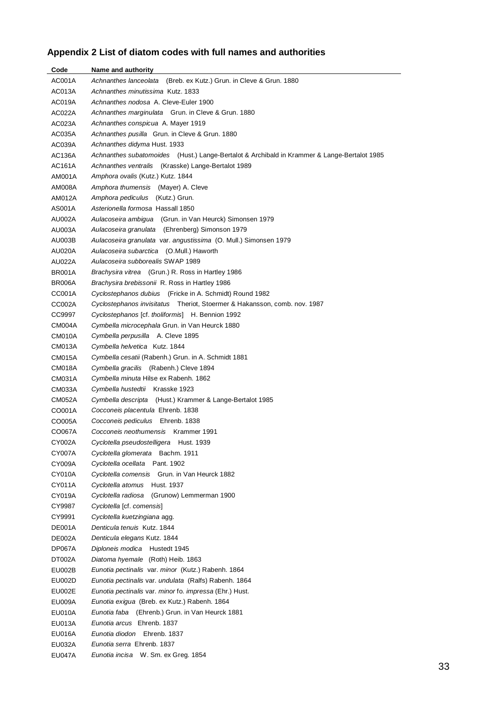## **Appendix 2 List of diatom codes with full names and authorities**

| Code          | Name and authority                                                                          |
|---------------|---------------------------------------------------------------------------------------------|
| AC001A        | Achnanthes lanceolata (Breb. ex Kutz.) Grun. in Cleve & Grun. 1880                          |
| AC013A        | Achnanthes minutissima Kutz. 1833                                                           |
| AC019A        | Achnanthes nodosa A. Cleve-Euler 1900                                                       |
| AC022A        | Achnanthes marginulata Grun. in Cleve & Grun. 1880                                          |
| AC023A        | Achnanthes conspicua A. Mayer 1919                                                          |
| AC035A        | Achnanthes pusilla Grun. in Cleve & Grun. 1880                                              |
| AC039A        | Achnanthes didyma Hust. 1933                                                                |
| AC136A        | Achnanthes subatomoides (Hust.) Lange-Bertalot & Archibald in Krammer & Lange-Bertalot 1985 |
| AC161A        | Achnanthes ventralis (Krasske) Lange-Bertalot 1989                                          |
| AM001A        | Amphora ovalis (Kutz.) Kutz. 1844                                                           |
| AM008A        | Amphora thumensis (Mayer) A. Cleve                                                          |
| AM012A        | Amphora pediculus<br>(Kutz.) Grun.                                                          |
| AS001A        | Asterionella formosa Hassall 1850                                                           |
| AU002A        | Aulacoseira ambigua (Grun. in Van Heurck) Simonsen 1979                                     |
| AU003A        | Aulacoseira granulata (Ehrenberg) Simonson 1979                                             |
| AU003B        | Aulacoseira granulata var. angustissima (O. Mull.) Simonsen 1979                            |
| AU020A        | Aulacoseira subarctica (O.Mull.) Haworth                                                    |
| AU022A        | Aulacoseira subborealis SWAP 1989                                                           |
| <b>BR001A</b> | Brachysira vitrea (Grun.) R. Ross in Hartley 1986                                           |
| BR006A        | Brachysira brebissonii R. Ross in Hartley 1986                                              |
| CC001A        | Cyclostephanos dubius (Fricke in A. Schmidt) Round 1982                                     |
| CC002A        | Cyclostephanos invisitatus Theriot, Stoermer & Hakansson, comb. nov. 1987                   |
| CC9997        | Cyclostephanos [cf. tholiformis] H. Bennion 1992                                            |
| <b>CM004A</b> | Cymbella microcephala Grun. in Van Heurck 1880                                              |
| CM010A        | Cymbella perpusilla A. Cleve 1895                                                           |
| CM013A        | Cymbella helvetica Kutz. 1844                                                               |
| CM015A        | Cymbella cesatii (Rabenh.) Grun. in A. Schmidt 1881                                         |
| CM018A        | Cymbella gracilis (Rabenh.) Cleve 1894                                                      |
| CM031A        | Cymbella minuta Hilse ex Rabenh. 1862                                                       |
| CM033A        | Cymbella hustedtii Krasske 1923                                                             |
| <b>CM052A</b> | Cymbella descripta (Hust.) Krammer & Lange-Bertalot 1985                                    |
| CO001A        | Cocconeis placentula Ehrenb. 1838                                                           |
| CO005A        | Cocconeis pediculus Ehrenb. 1838                                                            |
| CO067A        | Cocconeis neothumensis Krammer 1991                                                         |
| CY002A        | Cyclotella pseudostelligera Hust. 1939                                                      |
| CY007A        | Cyclotella glomerata Bachm. 1911                                                            |
| CY009A        | Cyclotella ocellata Pant. 1902                                                              |
| CY010A        | Cyclotella comensis Grun. in Van Heurck 1882                                                |
| CY011A        | Cyclotella atomus<br>Hust. 1937                                                             |
| CY019A        | Cyclotella radiosa<br>(Grunow) Lemmerman 1900                                               |
| CY9987        | Cyclotella [cf. comensis]                                                                   |
| CY9991        | Cyclotella kuetzingiana agg.                                                                |
| DE001A        | Denticula tenuis Kutz, 1844                                                                 |
| DE002A        | Denticula elegans Kutz. 1844                                                                |
| DP067A        | Diploneis modica Hustedt 1945                                                               |
| DT002A        | Diatoma hyemale (Roth) Heib. 1863                                                           |
| EU002B        | Eunotia pectinalis var. minor (Kutz.) Rabenh. 1864                                          |
| EU002D        | Eunotia pectinalis var. undulata (Ralfs) Rabenh. 1864                                       |
| EU002E        | Eunotia pectinalis var. minor fo. impressa (Ehr.) Hust.                                     |
| <b>EU009A</b> | Eunotia exigua (Breb. ex Kutz.) Rabenh. 1864                                                |
| EU010A        | Eunotia faba (Ehrenb.) Grun. in Van Heurck 1881                                             |
| EU013A        | Eunotia arcus Ehrenb. 1837                                                                  |
| EU016A        | Eunotia diodon Ehrenb. 1837                                                                 |
| EU032A        | Eunotia serra Ehrenb. 1837                                                                  |
| <b>EU047A</b> | Eunotia incisa W. Sm. ex Greg. 1854                                                         |

 $\overline{\phantom{a}}$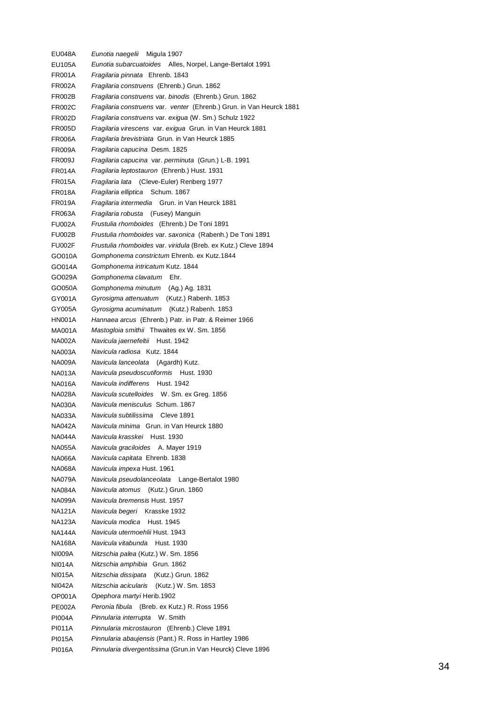EU048A *Eunotia naegelii* Migula 1907 EU105A *Eunotia subarcuatoides* Alles, Norpel, Lange-Bertalot 1991 FR001A *Fragilaria pinnata* Ehrenb. 1843 FR002A *Fragilaria construens* (Ehrenb.) Grun. 1862 FR002B *Fragilaria construens* var. *binodis* (Ehrenb.) Grun. 1862 FR002C *Fragilaria construens* var. *venter* (Ehrenb.) Grun. in Van Heurck 1881 FR002D *Fragilaria construens* var. *exigua* (W. Sm.) Schulz 1922 FR005D *Fragilaria virescens* var. *exigua* Grun. in Van Heurck 1881 FR006A *Fragilaria brevistriata* Grun. in Van Heurck 1885 FR009A *Fragilaria capucina* Desm. 1825 FR009J *Fragilaria capucina* var. *perminuta* (Grun.) L-B. 1991 FR014A *Fragilaria leptostauron* (Ehrenb.) Hust. 1931 FR015A *Fragilaria lata* (Cleve-Euler) Renberg 1977 FR018A *Fragilaria elliptica* Schum. 1867 FR019A *Fragilaria intermedia* Grun. in Van Heurck 1881 FR063A *Fragilaria robusta* (Fusey) Manguin FU002A *Frustulia rhomboides* (Ehrenb.) De Toni 1891 FU002B *Frustulia rhomboides* var. *saxonica* (Rabenh.) De Toni 1891 FU002F *Frustulia rhomboides* var. *viridula* (Breb. ex Kutz.) Cleve 1894 GO010A *Gomphonema constrictum* Ehrenb. ex Kutz.1844 GO014A *Gomphonema intricatum* Kutz. 1844 GO029A *Gomphonema clavatum* Ehr. GO050A *Gomphonema minutum* (Ag.) Ag. 1831 GY001A *Gyrosigma attenuatum* (Kutz.) Rabenh. 1853 GY005A *Gyrosigma acuminatum* (Kutz.) Rabenh. 1853 HN001A *Hannaea arcus* (Ehrenb.) Patr. in Patr. & Reimer 1966 MA001A *Mastogloia smithii* Thwaites ex W. Sm. 1856 NA002A *Navicula jaernefeltii* Hust. 1942 NA003A *Navicula radiosa* Kutz. 1844 NA009A *Navicula lanceolata* (Agardh) Kutz. NA013A *Navicula pseudoscutiformis* Hust. 1930 NA016A *Navicula indifferens* Hust. 1942 NA028A *Navicula scutelloides* W. Sm. ex Greg. 1856 NA030A *Navicula menisculus* Schum. 1867 NA033A *Navicula subtilissima* Cleve 1891 NA042A *Navicula minima* Grun. in Van Heurck 1880 NA044A *Navicula krasskei* Hust. 1930 NA055A *Navicula graciloides* A. Mayer 1919 NA066A *Navicula capitata* Ehrenb. 1838 NA068A *Navicula impexa* Hust. 1961 NA079A *Navicula pseudolanceolata* Lange-Bertalot 1980 NA084A *Navicula atomus* (Kutz.) Grun. 1860 NA099A *Navicula bremensis* Hust. 1957 NA121A *Navicula begeri* Krasske 1932 NA123A *Navicula modica* Hust. 1945 NA144A *Navicula utermoehlii* Hust. 1943 NA168A *Navicula vitabunda* Hust. 1930 NI009A *Nitzschia palea* (Kutz.) W. Sm. 1856 NI014A *Nitzschia amphibia* Grun. 1862 NI015A *Nitzschia dissipata* (Kutz.) Grun. 1862 NI042A *Nitzschia acicularis* (Kutz.) W. Sm. 1853 OP001A *Opephora martyi* Herib.1902 PE002A *Peronia fibula* (Breb. ex Kutz.) R. Ross 1956 PI004A *Pinnularia interrupta* W. Smith PI011A *Pinnularia microstauron* (Ehrenb.) Cleve 1891 PI015A *Pinnularia abaujensis* (Pant.) R. Ross in Hartley 1986 PI016A *Pinnularia divergentissima* (Grun.in Van Heurck) Cleve 1896